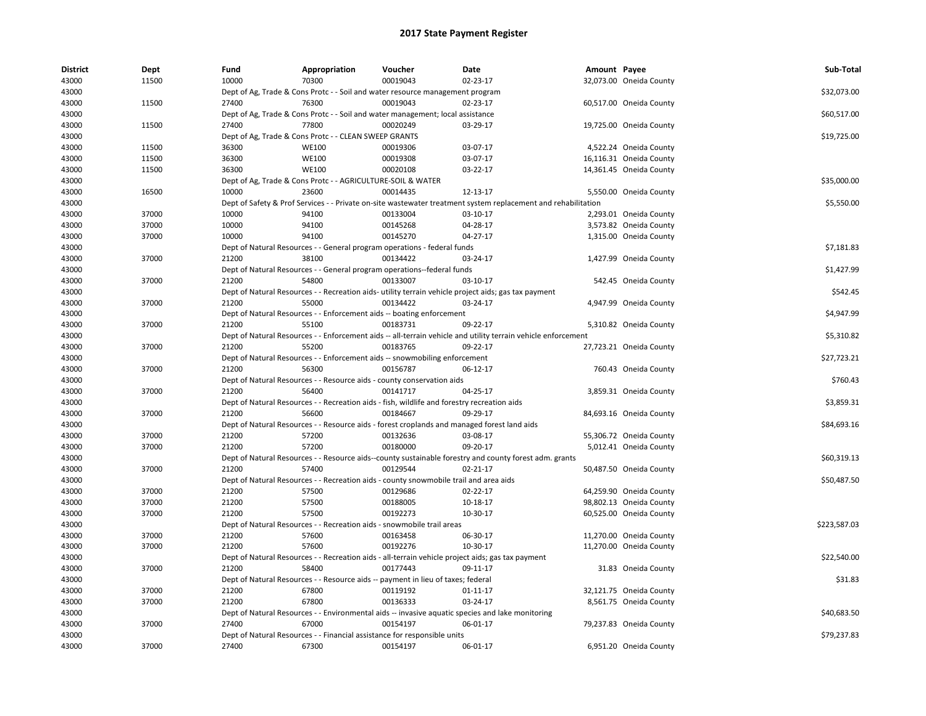| <b>District</b> | Dept  | Fund  | Appropriation                                               | Voucher                                                                                      | Date                                                                                                          | Amount Payee |                         | Sub-Total    |
|-----------------|-------|-------|-------------------------------------------------------------|----------------------------------------------------------------------------------------------|---------------------------------------------------------------------------------------------------------------|--------------|-------------------------|--------------|
| 43000           | 11500 | 10000 | 70300                                                       | 00019043                                                                                     | 02-23-17                                                                                                      |              | 32,073.00 Oneida County |              |
| 43000           |       |       |                                                             | Dept of Ag, Trade & Cons Protc - - Soil and water resource management program                |                                                                                                               |              |                         | \$32,073.00  |
| 43000           | 11500 | 27400 | 76300                                                       | 00019043                                                                                     | 02-23-17                                                                                                      |              | 60,517.00 Oneida County |              |
| 43000           |       |       |                                                             | Dept of Ag, Trade & Cons Protc - - Soil and water management; local assistance               |                                                                                                               |              |                         | \$60,517.00  |
| 43000           | 11500 | 27400 | 77800                                                       | 00020249                                                                                     | 03-29-17                                                                                                      |              | 19,725.00 Oneida County |              |
| 43000           |       |       | Dept of Ag, Trade & Cons Protc - - CLEAN SWEEP GRANTS       |                                                                                              |                                                                                                               |              |                         | \$19,725.00  |
| 43000           | 11500 | 36300 | <b>WE100</b>                                                | 00019306                                                                                     | 03-07-17                                                                                                      |              | 4,522.24 Oneida County  |              |
| 43000           | 11500 | 36300 | <b>WE100</b>                                                | 00019308                                                                                     | 03-07-17                                                                                                      |              | 16,116.31 Oneida County |              |
| 43000           | 11500 | 36300 | <b>WE100</b>                                                | 00020108                                                                                     | 03-22-17                                                                                                      |              | 14,361.45 Oneida County |              |
| 43000           |       |       | Dept of Ag, Trade & Cons Protc - - AGRICULTURE-SOIL & WATER |                                                                                              |                                                                                                               |              |                         | \$35,000.00  |
| 43000           | 16500 | 10000 | 23600                                                       | 00014435                                                                                     | 12-13-17                                                                                                      |              | 5,550.00 Oneida County  |              |
| 43000           |       |       |                                                             |                                                                                              | Dept of Safety & Prof Services - - Private on-site wastewater treatment system replacement and rehabilitation |              |                         | \$5,550.00   |
| 43000           | 37000 | 10000 | 94100                                                       | 00133004                                                                                     | 03-10-17                                                                                                      |              | 2,293.01 Oneida County  |              |
| 43000           | 37000 | 10000 | 94100                                                       | 00145268                                                                                     | 04-28-17                                                                                                      |              | 3,573.82 Oneida County  |              |
| 43000           | 37000 | 10000 | 94100                                                       | 00145270                                                                                     | 04-27-17                                                                                                      |              | 1,315.00 Oneida County  |              |
| 43000           |       |       |                                                             | Dept of Natural Resources - - General program operations - federal funds                     |                                                                                                               |              |                         | \$7,181.83   |
| 43000           | 37000 | 21200 | 38100                                                       | 00134422                                                                                     | 03-24-17                                                                                                      |              | 1,427.99 Oneida County  |              |
| 43000           |       |       |                                                             | Dept of Natural Resources - - General program operations--federal funds                      |                                                                                                               |              |                         | \$1,427.99   |
| 43000           | 37000 | 21200 | 54800                                                       | 00133007                                                                                     | 03-10-17                                                                                                      |              | 542.45 Oneida County    |              |
| 43000           |       |       |                                                             |                                                                                              | Dept of Natural Resources - - Recreation aids- utility terrain vehicle project aids; gas tax payment          |              |                         | \$542.45     |
| 43000           | 37000 | 21200 | 55000                                                       | 00134422                                                                                     | 03-24-17                                                                                                      |              | 4,947.99 Oneida County  |              |
| 43000           |       |       |                                                             | Dept of Natural Resources - - Enforcement aids -- boating enforcement                        |                                                                                                               |              |                         | \$4,947.99   |
| 43000           | 37000 | 21200 | 55100                                                       | 00183731                                                                                     | 09-22-17                                                                                                      |              | 5,310.82 Oneida County  |              |
| 43000           |       |       |                                                             |                                                                                              | Dept of Natural Resources - - Enforcement aids -- all-terrain vehicle and utility terrain vehicle enforcement |              |                         | \$5,310.82   |
| 43000           | 37000 | 21200 | 55200                                                       | 00183765                                                                                     | 09-22-17                                                                                                      |              | 27,723.21 Oneida County |              |
| 43000           |       |       |                                                             | Dept of Natural Resources - - Enforcement aids -- snowmobiling enforcement                   |                                                                                                               |              |                         | \$27,723.21  |
| 43000           | 37000 | 21200 | 56300                                                       | 00156787                                                                                     | 06-12-17                                                                                                      |              | 760.43 Oneida County    |              |
| 43000           |       |       |                                                             | Dept of Natural Resources - - Resource aids - county conservation aids                       |                                                                                                               |              |                         | \$760.43     |
| 43000           | 37000 | 21200 | 56400                                                       | 00141717                                                                                     | 04-25-17                                                                                                      |              | 3,859.31 Oneida County  |              |
| 43000           |       |       |                                                             | Dept of Natural Resources - - Recreation aids - fish, wildlife and forestry recreation aids  |                                                                                                               |              |                         | \$3,859.31   |
| 43000           | 37000 | 21200 | 56600                                                       | 00184667                                                                                     | 09-29-17                                                                                                      |              | 84,693.16 Oneida County |              |
| 43000           |       |       |                                                             |                                                                                              | Dept of Natural Resources - - Resource aids - forest croplands and managed forest land aids                   |              |                         | \$84,693.16  |
| 43000           | 37000 | 21200 | 57200                                                       | 00132636                                                                                     | 03-08-17                                                                                                      |              | 55,306.72 Oneida County |              |
| 43000           | 37000 | 21200 | 57200                                                       | 00180000                                                                                     | 09-20-17                                                                                                      |              | 5,012.41 Oneida County  |              |
| 43000           |       |       |                                                             |                                                                                              | Dept of Natural Resources - - Resource aids--county sustainable forestry and county forest adm. grants        |              |                         | \$60,319.13  |
| 43000           | 37000 | 21200 | 57400                                                       | 00129544                                                                                     | 02-21-17                                                                                                      |              | 50,487.50 Oneida County |              |
| 43000           |       |       |                                                             | Dept of Natural Resources - - Recreation aids - county snowmobile trail and area aids        |                                                                                                               |              |                         | \$50,487.50  |
| 43000           | 37000 | 21200 | 57500                                                       | 00129686                                                                                     | $02 - 22 - 17$                                                                                                |              | 64,259.90 Oneida County |              |
| 43000           | 37000 | 21200 | 57500                                                       | 00188005                                                                                     | 10-18-17                                                                                                      |              | 98,802.13 Oneida County |              |
| 43000           | 37000 | 21200 | 57500                                                       | 00192273                                                                                     | 10-30-17                                                                                                      |              | 60,525.00 Oneida County |              |
| 43000           |       |       |                                                             | Dept of Natural Resources - - Recreation aids - snowmobile trail areas                       |                                                                                                               |              |                         | \$223,587.03 |
| 43000           | 37000 | 21200 | 57600                                                       | 00163458                                                                                     | 06-30-17                                                                                                      |              | 11,270.00 Oneida County |              |
| 43000           | 37000 | 21200 | 57600                                                       | 00192276                                                                                     | 10-30-17                                                                                                      |              | 11,270.00 Oneida County |              |
| 43000           |       |       |                                                             |                                                                                              | Dept of Natural Resources - - Recreation aids - all-terrain vehicle project aids; gas tax payment             |              |                         | \$22,540.00  |
|                 |       | 21200 | 58400                                                       | 00177443                                                                                     |                                                                                                               |              |                         |              |
| 43000<br>43000  | 37000 |       |                                                             |                                                                                              | 09-11-17                                                                                                      |              | 31.83 Oneida County     | \$31.83      |
|                 | 37000 | 21200 | 67800                                                       | Dept of Natural Resources - - Resource aids -- payment in lieu of taxes; federal<br>00119192 |                                                                                                               |              |                         |              |
| 43000           |       |       |                                                             |                                                                                              | $01 - 11 - 17$                                                                                                |              | 32,121.75 Oneida County |              |
| 43000           | 37000 | 21200 | 67800                                                       | 00136333                                                                                     | 03-24-17                                                                                                      |              | 8,561.75 Oneida County  |              |
| 43000           | 37000 | 27400 | 67000                                                       | 00154197                                                                                     | Dept of Natural Resources - - Environmental aids -- invasive aquatic species and lake monitoring<br>06-01-17  |              | 79,237.83 Oneida County | \$40.683.50  |
| 43000           |       |       |                                                             |                                                                                              |                                                                                                               |              |                         |              |
| 43000           |       |       |                                                             | Dept of Natural Resources - - Financial assistance for responsible units                     |                                                                                                               |              |                         | \$79,237.83  |
| 43000           | 37000 | 27400 | 67300                                                       | 00154197                                                                                     | 06-01-17                                                                                                      |              | 6,951.20 Oneida County  |              |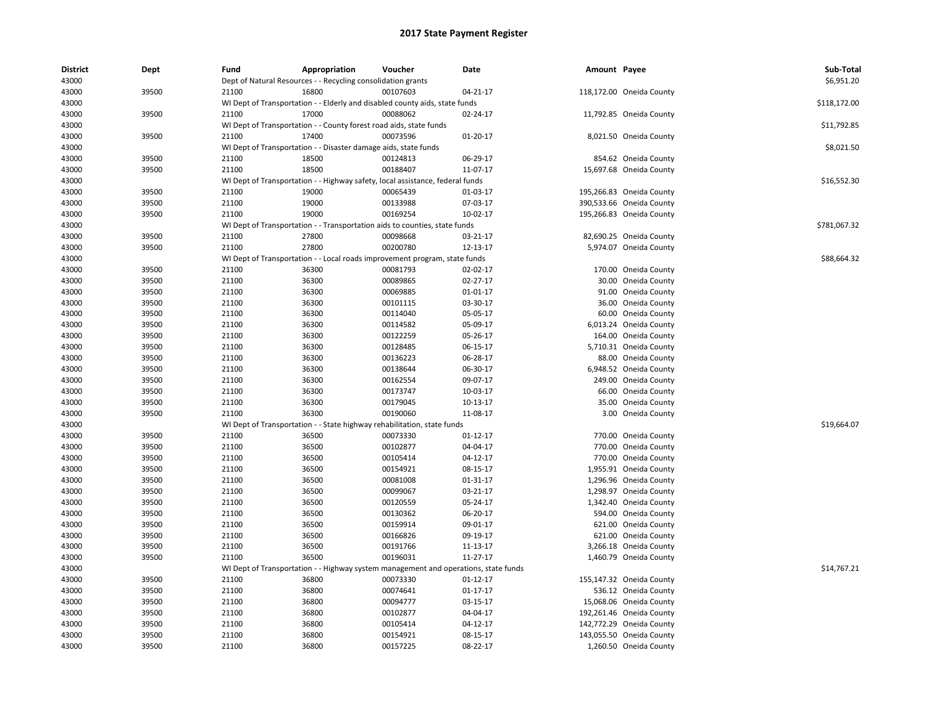| <b>District</b><br>43000 | Dept  | Fund  | Appropriation<br>Dept of Natural Resources - - Recycling consolidation grants       | Voucher  | Date           | Amount Payee |                          | Sub-Total<br>\$6,951.20 |
|--------------------------|-------|-------|-------------------------------------------------------------------------------------|----------|----------------|--------------|--------------------------|-------------------------|
| 43000                    | 39500 | 21100 | 16800                                                                               | 00107603 | 04-21-17       |              | 118,172.00 Oneida County |                         |
| 43000                    |       |       | WI Dept of Transportation - - Elderly and disabled county aids, state funds         |          |                |              |                          | \$118,172.00            |
| 43000                    | 39500 | 21100 | 17000                                                                               | 00088062 | 02-24-17       |              | 11,792.85 Oneida County  |                         |
| 43000                    |       |       | WI Dept of Transportation - - County forest road aids, state funds                  |          |                |              |                          | \$11,792.85             |
|                          |       | 21100 | 17400                                                                               | 00073596 |                |              |                          |                         |
| 43000                    | 39500 |       |                                                                                     |          | 01-20-17       |              | 8,021.50 Oneida County   |                         |
| 43000                    |       |       | WI Dept of Transportation - - Disaster damage aids, state funds                     |          |                |              |                          | \$8,021.50              |
| 43000                    | 39500 | 21100 | 18500                                                                               | 00124813 | 06-29-17       |              | 854.62 Oneida County     |                         |
| 43000                    | 39500 | 21100 | 18500                                                                               | 00188407 | 11-07-17       |              | 15,697.68 Oneida County  |                         |
| 43000                    |       |       | WI Dept of Transportation - - Highway safety, local assistance, federal funds       |          |                |              |                          | \$16,552.30             |
| 43000                    | 39500 | 21100 | 19000                                                                               | 00065439 | 01-03-17       |              | 195,266.83 Oneida County |                         |
| 43000                    | 39500 | 21100 | 19000                                                                               | 00133988 | 07-03-17       |              | 390,533.66 Oneida County |                         |
| 43000                    | 39500 | 21100 | 19000                                                                               | 00169254 | 10-02-17       |              | 195,266.83 Oneida County |                         |
| 43000                    |       |       | WI Dept of Transportation - - Transportation aids to counties, state funds          |          |                |              |                          | \$781,067.32            |
| 43000                    | 39500 | 21100 | 27800                                                                               | 00098668 | 03-21-17       |              | 82,690.25 Oneida County  |                         |
| 43000                    | 39500 | 21100 | 27800                                                                               | 00200780 | 12-13-17       |              | 5,974.07 Oneida County   |                         |
| 43000                    |       |       | WI Dept of Transportation - - Local roads improvement program, state funds          |          |                |              |                          | \$88,664.32             |
| 43000                    | 39500 | 21100 | 36300                                                                               | 00081793 | 02-02-17       |              | 170.00 Oneida County     |                         |
| 43000                    | 39500 | 21100 | 36300                                                                               | 00089865 | 02-27-17       |              | 30.00 Oneida County      |                         |
| 43000                    | 39500 | 21100 | 36300                                                                               | 00069885 | 01-01-17       |              | 91.00 Oneida County      |                         |
| 43000                    | 39500 | 21100 | 36300                                                                               | 00101115 | 03-30-17       |              | 36.00 Oneida County      |                         |
| 43000                    | 39500 | 21100 | 36300                                                                               | 00114040 | 05-05-17       | 60.00        | Oneida County            |                         |
| 43000                    | 39500 | 21100 | 36300                                                                               | 00114582 | 05-09-17       |              | 6,013.24 Oneida County   |                         |
| 43000                    | 39500 | 21100 | 36300                                                                               | 00122259 | 05-26-17       |              | 164.00 Oneida County     |                         |
| 43000                    | 39500 | 21100 | 36300                                                                               | 00128485 | 06-15-17       |              | 5,710.31 Oneida County   |                         |
| 43000                    | 39500 | 21100 | 36300                                                                               | 00136223 | 06-28-17       |              | 88.00 Oneida County      |                         |
| 43000                    | 39500 | 21100 | 36300                                                                               | 00138644 | 06-30-17       |              | 6,948.52 Oneida County   |                         |
| 43000                    | 39500 | 21100 | 36300                                                                               | 00162554 | 09-07-17       |              | 249.00 Oneida County     |                         |
| 43000                    | 39500 | 21100 | 36300                                                                               | 00173747 | 10-03-17       |              | 66.00 Oneida County      |                         |
| 43000                    | 39500 | 21100 | 36300                                                                               | 00179045 | 10-13-17       |              | 35.00 Oneida County      |                         |
| 43000                    | 39500 | 21100 | 36300                                                                               | 00190060 | 11-08-17       |              | 3.00 Oneida County       |                         |
| 43000                    |       |       | WI Dept of Transportation - - State highway rehabilitation, state funds             |          |                |              |                          | \$19,664.07             |
| 43000                    | 39500 | 21100 | 36500                                                                               | 00073330 | 01-12-17       |              | 770.00 Oneida County     |                         |
| 43000                    | 39500 | 21100 | 36500                                                                               | 00102877 | 04-04-17       |              | 770.00 Oneida County     |                         |
| 43000                    | 39500 | 21100 | 36500                                                                               | 00105414 | 04-12-17       |              | 770.00 Oneida County     |                         |
| 43000                    | 39500 | 21100 | 36500                                                                               | 00154921 | 08-15-17       |              | 1,955.91 Oneida County   |                         |
| 43000                    | 39500 | 21100 | 36500                                                                               | 00081008 | 01-31-17       |              | 1,296.96 Oneida County   |                         |
| 43000                    | 39500 | 21100 | 36500                                                                               | 00099067 | 03-21-17       |              | 1,298.97 Oneida County   |                         |
| 43000                    | 39500 | 21100 | 36500                                                                               | 00120559 | 05-24-17       |              | 1,342.40 Oneida County   |                         |
| 43000                    | 39500 | 21100 | 36500                                                                               | 00130362 | 06-20-17       |              | 594.00 Oneida County     |                         |
| 43000                    | 39500 | 21100 | 36500                                                                               | 00159914 | 09-01-17       |              | 621.00 Oneida County     |                         |
| 43000                    | 39500 | 21100 | 36500                                                                               | 00166826 | 09-19-17       |              | 621.00 Oneida County     |                         |
| 43000                    | 39500 | 21100 | 36500                                                                               | 00191766 | 11-13-17       |              | 3,266.18 Oneida County   |                         |
| 43000                    | 39500 | 21100 | 36500                                                                               | 00196031 | 11-27-17       |              | 1,460.79 Oneida County   |                         |
| 43000                    |       |       | WI Dept of Transportation - - Highway system management and operations, state funds |          |                |              |                          | \$14,767.21             |
| 43000                    | 39500 | 21100 | 36800                                                                               | 00073330 | 01-12-17       |              | 155,147.32 Oneida County |                         |
| 43000                    | 39500 | 21100 | 36800                                                                               | 00074641 | $01 - 17 - 17$ |              | 536.12 Oneida County     |                         |
| 43000                    | 39500 | 21100 | 36800                                                                               | 00094777 | 03-15-17       |              | 15,068.06 Oneida County  |                         |
| 43000                    | 39500 | 21100 | 36800                                                                               | 00102877 | 04-04-17       |              | 192,261.46 Oneida County |                         |
| 43000                    | 39500 | 21100 | 36800                                                                               | 00105414 | 04-12-17       |              | 142,772.29 Oneida County |                         |
| 43000                    | 39500 | 21100 | 36800                                                                               | 00154921 | 08-15-17       |              | 143,055.50 Oneida County |                         |
| 43000                    | 39500 | 21100 | 36800                                                                               | 00157225 | 08-22-17       |              | 1,260.50 Oneida County   |                         |
|                          |       |       |                                                                                     |          |                |              |                          |                         |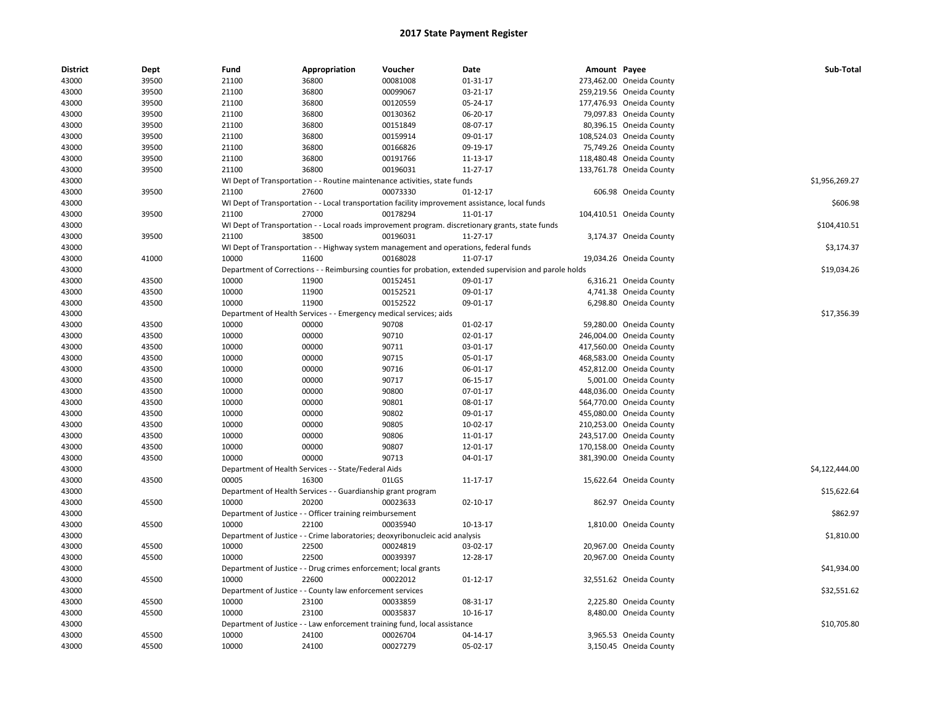| <b>District</b> | Dept  | Fund  | Appropriation                                                      | Voucher                                                                               | <b>Date</b>                                                                                             | Amount Payee |                          | Sub-Total      |
|-----------------|-------|-------|--------------------------------------------------------------------|---------------------------------------------------------------------------------------|---------------------------------------------------------------------------------------------------------|--------------|--------------------------|----------------|
| 43000           | 39500 | 21100 | 36800                                                              | 00081008                                                                              | 01-31-17                                                                                                |              | 273,462.00 Oneida County |                |
| 43000           | 39500 | 21100 | 36800                                                              | 00099067                                                                              | 03-21-17                                                                                                |              | 259,219.56 Oneida County |                |
| 43000           | 39500 | 21100 | 36800                                                              | 00120559                                                                              | 05-24-17                                                                                                |              | 177,476.93 Oneida County |                |
| 43000           | 39500 | 21100 | 36800                                                              | 00130362                                                                              | 06-20-17                                                                                                |              | 79,097.83 Oneida County  |                |
| 43000           | 39500 | 21100 | 36800                                                              | 00151849                                                                              | 08-07-17                                                                                                |              | 80,396.15 Oneida County  |                |
| 43000           | 39500 | 21100 | 36800                                                              | 00159914                                                                              | 09-01-17                                                                                                |              | 108,524.03 Oneida County |                |
| 43000           | 39500 | 21100 | 36800                                                              | 00166826                                                                              | 09-19-17                                                                                                |              | 75,749.26 Oneida County  |                |
| 43000           | 39500 | 21100 | 36800                                                              | 00191766                                                                              | 11-13-17                                                                                                |              | 118,480.48 Oneida County |                |
| 43000           | 39500 | 21100 | 36800                                                              | 00196031                                                                              | 11-27-17                                                                                                |              | 133,761.78 Oneida County |                |
| 43000           |       |       |                                                                    | WI Dept of Transportation - - Routine maintenance activities, state funds             |                                                                                                         |              |                          | \$1,956,269.27 |
| 43000           | 39500 | 21100 | 27600                                                              | 00073330                                                                              | 01-12-17                                                                                                |              | 606.98 Oneida County     |                |
| 43000           |       |       |                                                                    |                                                                                       | WI Dept of Transportation - - Local transportation facility improvement assistance, local funds         |              |                          | \$606.98       |
| 43000           | 39500 | 21100 | 27000                                                              | 00178294                                                                              | 11-01-17                                                                                                |              | 104,410.51 Oneida County |                |
| 43000           |       |       |                                                                    |                                                                                       | WI Dept of Transportation - - Local roads improvement program. discretionary grants, state funds        |              |                          | \$104,410.51   |
| 43000           | 39500 | 21100 | 38500                                                              | 00196031                                                                              | 11-27-17                                                                                                |              | 3,174.37 Oneida County   |                |
| 43000           |       |       |                                                                    | WI Dept of Transportation - - Highway system management and operations, federal funds |                                                                                                         |              |                          | \$3,174.37     |
| 43000           | 41000 | 10000 | 11600                                                              | 00168028                                                                              | 11-07-17                                                                                                |              | 19,034.26 Oneida County  |                |
| 43000           |       |       |                                                                    |                                                                                       | Department of Corrections - - Reimbursing counties for probation, extended supervision and parole holds |              |                          | \$19,034.26    |
| 43000           | 43500 | 10000 | 11900                                                              | 00152451                                                                              | 09-01-17                                                                                                |              | 6,316.21 Oneida County   |                |
|                 |       |       |                                                                    |                                                                                       |                                                                                                         |              |                          |                |
| 43000           | 43500 | 10000 | 11900                                                              | 00152521                                                                              | 09-01-17                                                                                                |              | 4,741.38 Oneida County   |                |
| 43000           | 43500 | 10000 | 11900                                                              | 00152522                                                                              | 09-01-17                                                                                                |              | 6,298.80 Oneida County   |                |
| 43000           |       |       | Department of Health Services - - Emergency medical services; aids |                                                                                       |                                                                                                         |              |                          | \$17,356.39    |
| 43000           | 43500 | 10000 | 00000                                                              | 90708                                                                                 | 01-02-17                                                                                                |              | 59,280.00 Oneida County  |                |
| 43000           | 43500 | 10000 | 00000                                                              | 90710                                                                                 | 02-01-17                                                                                                |              | 246,004.00 Oneida County |                |
| 43000           | 43500 | 10000 | 00000                                                              | 90711                                                                                 | 03-01-17                                                                                                |              | 417,560.00 Oneida County |                |
| 43000           | 43500 | 10000 | 00000                                                              | 90715                                                                                 | 05-01-17                                                                                                |              | 468,583.00 Oneida County |                |
| 43000           | 43500 | 10000 | 00000                                                              | 90716                                                                                 | 06-01-17                                                                                                |              | 452,812.00 Oneida County |                |
| 43000           | 43500 | 10000 | 00000                                                              | 90717                                                                                 | 06-15-17                                                                                                |              | 5,001.00 Oneida County   |                |
| 43000           | 43500 | 10000 | 00000                                                              | 90800                                                                                 | 07-01-17                                                                                                |              | 448,036.00 Oneida County |                |
| 43000           | 43500 | 10000 | 00000                                                              | 90801                                                                                 | 08-01-17                                                                                                |              | 564,770.00 Oneida County |                |
| 43000           | 43500 | 10000 | 00000                                                              | 90802                                                                                 | 09-01-17                                                                                                |              | 455,080.00 Oneida County |                |
| 43000           | 43500 | 10000 | 00000                                                              | 90805                                                                                 | 10-02-17                                                                                                |              | 210,253.00 Oneida County |                |
| 43000           | 43500 | 10000 | 00000                                                              | 90806                                                                                 | 11-01-17                                                                                                |              | 243,517.00 Oneida County |                |
| 43000           | 43500 | 10000 | 00000                                                              | 90807                                                                                 | 12-01-17                                                                                                |              | 170,158.00 Oneida County |                |
| 43000           | 43500 | 10000 | 00000                                                              | 90713                                                                                 | 04-01-17                                                                                                |              | 381,390.00 Oneida County |                |
| 43000           |       |       | Department of Health Services - - State/Federal Aids               |                                                                                       |                                                                                                         |              |                          | \$4,122,444.00 |
| 43000           | 43500 | 00005 | 16300                                                              | 01LGS                                                                                 | 11-17-17                                                                                                |              | 15,622.64 Oneida County  |                |
| 43000           |       |       | Department of Health Services - - Guardianship grant program       |                                                                                       |                                                                                                         |              |                          | \$15,622.64    |
| 43000           | 45500 | 10000 | 20200                                                              | 00023633                                                                              | $02 - 10 - 17$                                                                                          |              | 862.97 Oneida County     |                |
| 43000           |       |       | Department of Justice - - Officer training reimbursement           |                                                                                       |                                                                                                         |              |                          | \$862.97       |
| 43000           | 45500 | 10000 | 22100                                                              | 00035940                                                                              | 10-13-17                                                                                                |              | 1,810.00 Oneida County   |                |
| 43000           |       |       |                                                                    | Department of Justice - - Crime laboratories; deoxyribonucleic acid analysis          |                                                                                                         |              |                          | \$1,810.00     |
| 43000           | 45500 | 10000 | 22500                                                              | 00024819                                                                              | 03-02-17                                                                                                |              | 20,967.00 Oneida County  |                |
| 43000           | 45500 | 10000 | 22500                                                              | 00039397                                                                              | 12-28-17                                                                                                |              | 20,967.00 Oneida County  |                |
| 43000           |       |       | Department of Justice - - Drug crimes enforcement; local grants    |                                                                                       |                                                                                                         |              |                          | \$41,934.00    |
|                 | 45500 | 10000 | 22600                                                              | 00022012                                                                              | $01 - 12 - 17$                                                                                          |              |                          |                |
| 43000<br>43000  |       |       |                                                                    |                                                                                       |                                                                                                         |              | 32,551.62 Oneida County  | \$32,551.62    |
|                 |       |       | Department of Justice - - County law enforcement services          |                                                                                       |                                                                                                         |              |                          |                |
| 43000           | 45500 | 10000 | 23100                                                              | 00033859                                                                              | 08-31-17                                                                                                |              | 2,225.80 Oneida County   |                |
| 43000           | 45500 | 10000 | 23100                                                              | 00035837                                                                              | 10-16-17                                                                                                |              | 8,480.00 Oneida County   |                |
| 43000           |       |       |                                                                    | Department of Justice - - Law enforcement training fund, local assistance             |                                                                                                         |              |                          | \$10,705.80    |
| 43000           | 45500 | 10000 | 24100                                                              | 00026704                                                                              | 04-14-17                                                                                                |              | 3,965.53 Oneida County   |                |
| 43000           | 45500 | 10000 | 24100                                                              | 00027279                                                                              | 05-02-17                                                                                                |              | 3,150.45 Oneida County   |                |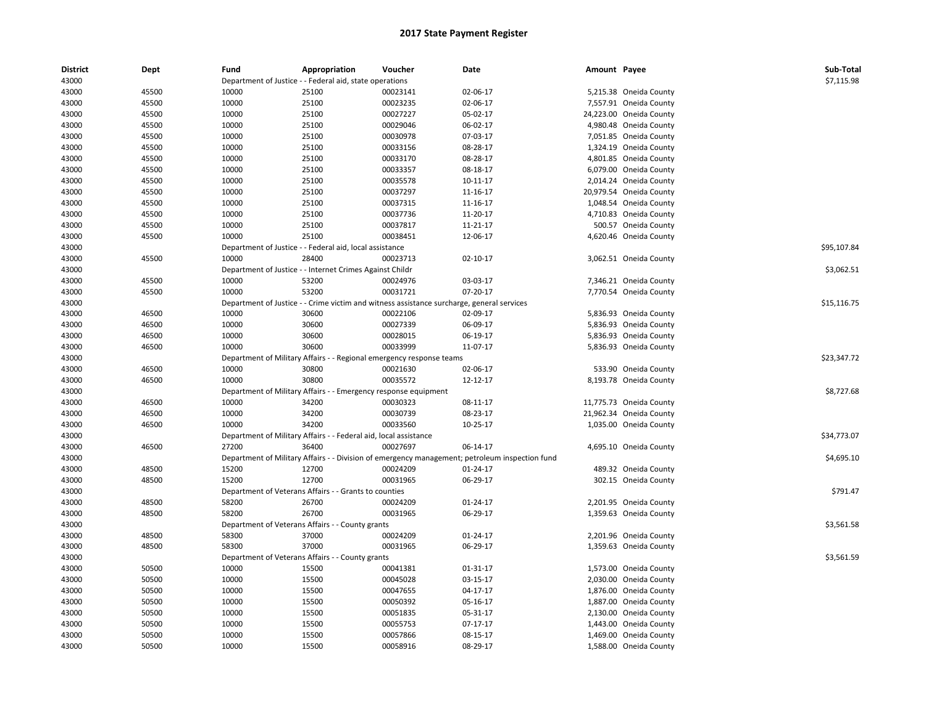| <b>District</b> | Dept  | Fund           | Appropriation                                                    | Voucher                                                                                   | Date                                                                                                       | Amount Payee |                         | Sub-Total   |
|-----------------|-------|----------------|------------------------------------------------------------------|-------------------------------------------------------------------------------------------|------------------------------------------------------------------------------------------------------------|--------------|-------------------------|-------------|
| 43000           |       |                | Department of Justice - - Federal aid, state operations          |                                                                                           |                                                                                                            |              |                         | \$7,115.98  |
| 43000           | 45500 | 10000          | 25100                                                            | 00023141                                                                                  | 02-06-17                                                                                                   |              | 5,215.38 Oneida County  |             |
| 43000           | 45500 | 10000          | 25100                                                            | 00023235                                                                                  | 02-06-17                                                                                                   |              | 7,557.91 Oneida County  |             |
| 43000           | 45500 | 10000          | 25100                                                            | 00027227                                                                                  | 05-02-17                                                                                                   |              | 24,223.00 Oneida County |             |
| 43000           | 45500 | 10000          | 25100                                                            | 00029046                                                                                  | 06-02-17                                                                                                   |              | 4,980.48 Oneida County  |             |
| 43000           | 45500 | 10000          | 25100                                                            | 00030978                                                                                  | 07-03-17                                                                                                   |              | 7,051.85 Oneida County  |             |
| 43000           | 45500 | 10000          | 25100                                                            | 00033156                                                                                  | 08-28-17                                                                                                   |              | 1,324.19 Oneida County  |             |
| 43000           | 45500 | 10000          | 25100                                                            | 00033170                                                                                  | 08-28-17                                                                                                   |              | 4,801.85 Oneida County  |             |
| 43000           | 45500 | 10000          | 25100                                                            | 00033357                                                                                  | 08-18-17                                                                                                   |              | 6,079.00 Oneida County  |             |
| 43000           | 45500 | 10000          | 25100                                                            | 00035578                                                                                  | 10-11-17                                                                                                   |              | 2,014.24 Oneida County  |             |
| 43000           | 45500 | 10000          | 25100                                                            | 00037297                                                                                  | 11-16-17                                                                                                   |              | 20,979.54 Oneida County |             |
| 43000           | 45500 | 10000          | 25100                                                            | 00037315                                                                                  | 11-16-17                                                                                                   |              | 1,048.54 Oneida County  |             |
| 43000           | 45500 | 10000          | 25100                                                            | 00037736                                                                                  | 11-20-17                                                                                                   |              | 4,710.83 Oneida County  |             |
| 43000           | 45500 | 10000          | 25100                                                            | 00037817                                                                                  | 11-21-17                                                                                                   |              | 500.57 Oneida County    |             |
| 43000           | 45500 | 10000          | 25100                                                            | 00038451                                                                                  | 12-06-17                                                                                                   |              | 4,620.46 Oneida County  |             |
| 43000           |       |                | Department of Justice - - Federal aid, local assistance          |                                                                                           |                                                                                                            |              |                         | \$95,107.84 |
| 43000           | 45500 | 10000          | 28400                                                            | 00023713                                                                                  | $02 - 10 - 17$                                                                                             |              | 3,062.51 Oneida County  |             |
| 43000           |       |                | Department of Justice - - Internet Crimes Against Childr         |                                                                                           |                                                                                                            |              |                         | \$3,062.51  |
| 43000           | 45500 | 10000          | 53200                                                            | 00024976                                                                                  | 03-03-17                                                                                                   |              | 7,346.21 Oneida County  |             |
| 43000           | 45500 | 10000          | 53200                                                            | 00031721                                                                                  | 07-20-17                                                                                                   |              | 7,770.54 Oneida County  |             |
| 43000           |       |                |                                                                  | Department of Justice - - Crime victim and witness assistance surcharge, general services |                                                                                                            |              |                         | \$15,116.75 |
| 43000           | 46500 | 10000          | 30600                                                            | 00022106                                                                                  | 02-09-17                                                                                                   |              | 5,836.93 Oneida County  |             |
| 43000           | 46500 | 10000          | 30600                                                            | 00027339                                                                                  | 06-09-17                                                                                                   |              | 5,836.93 Oneida County  |             |
| 43000           | 46500 | 10000          | 30600                                                            | 00028015                                                                                  | 06-19-17                                                                                                   |              | 5,836.93 Oneida County  |             |
| 43000           | 46500 | 10000          | 30600                                                            | 00033999                                                                                  | 11-07-17                                                                                                   |              | 5,836.93 Oneida County  |             |
| 43000           |       |                |                                                                  | Department of Military Affairs - - Regional emergency response teams                      |                                                                                                            |              |                         | \$23,347.72 |
| 43000           | 46500 | 10000          | 30800                                                            | 00021630                                                                                  | 02-06-17                                                                                                   |              | 533.90 Oneida County    |             |
| 43000           | 46500 | 10000          | 30800                                                            | 00035572                                                                                  | 12-12-17                                                                                                   |              | 8,193.78 Oneida County  |             |
| 43000           |       |                | Department of Military Affairs - - Emergency response equipment  |                                                                                           |                                                                                                            |              |                         | \$8,727.68  |
| 43000           | 46500 | 10000          | 34200                                                            | 00030323                                                                                  | 08-11-17                                                                                                   |              | 11,775.73 Oneida County |             |
| 43000           | 46500 | 10000          | 34200                                                            | 00030739                                                                                  | 08-23-17                                                                                                   |              | 21,962.34 Oneida County |             |
| 43000           | 46500 | 10000          | 34200                                                            | 00033560                                                                                  | 10-25-17                                                                                                   |              | 1,035.00 Oneida County  |             |
| 43000           |       |                | Department of Military Affairs - - Federal aid, local assistance |                                                                                           |                                                                                                            |              |                         | \$34,773.07 |
| 43000           | 46500 | 27200          | 36400                                                            | 00027697                                                                                  | 06-14-17                                                                                                   |              | 4,695.10 Oneida County  |             |
| 43000           |       |                |                                                                  |                                                                                           |                                                                                                            |              |                         | \$4,695.10  |
| 43000           | 48500 | 15200          | 12700                                                            | 00024209                                                                                  | Department of Military Affairs - - Division of emergency management; petroleum inspection fund<br>01-24-17 |              | 489.32 Oneida County    |             |
| 43000           | 48500 | 15200          | 12700                                                            | 00031965                                                                                  | 06-29-17                                                                                                   |              | 302.15 Oneida County    |             |
|                 |       |                |                                                                  |                                                                                           |                                                                                                            |              |                         | \$791.47    |
| 43000           |       |                | Department of Veterans Affairs - - Grants to counties            |                                                                                           |                                                                                                            |              |                         |             |
| 43000           | 48500 | 58200<br>58200 | 26700                                                            | 00024209                                                                                  | 01-24-17                                                                                                   |              | 2,201.95 Oneida County  |             |
| 43000           | 48500 |                | 26700                                                            | 00031965                                                                                  | 06-29-17                                                                                                   |              | 1,359.63 Oneida County  |             |
| 43000           |       |                | Department of Veterans Affairs - - County grants                 |                                                                                           |                                                                                                            |              |                         | \$3,561.58  |
| 43000           | 48500 | 58300          | 37000                                                            | 00024209                                                                                  | 01-24-17                                                                                                   |              | 2,201.96 Oneida County  |             |
| 43000           | 48500 | 58300          | 37000                                                            | 00031965                                                                                  | 06-29-17                                                                                                   |              | 1,359.63 Oneida County  |             |
| 43000           |       |                | Department of Veterans Affairs - - County grants                 |                                                                                           |                                                                                                            |              |                         | \$3,561.59  |
| 43000           | 50500 | 10000          | 15500                                                            | 00041381                                                                                  | 01-31-17                                                                                                   |              | 1,573.00 Oneida County  |             |
| 43000           | 50500 | 10000          | 15500                                                            | 00045028                                                                                  | 03-15-17                                                                                                   |              | 2,030.00 Oneida County  |             |
| 43000           | 50500 | 10000          | 15500                                                            | 00047655                                                                                  | 04-17-17                                                                                                   |              | 1,876.00 Oneida County  |             |
| 43000           | 50500 | 10000          | 15500                                                            | 00050392                                                                                  | 05-16-17                                                                                                   |              | 1,887.00 Oneida County  |             |
| 43000           | 50500 | 10000          | 15500                                                            | 00051835                                                                                  | 05-31-17                                                                                                   |              | 2,130.00 Oneida County  |             |
| 43000           | 50500 | 10000          | 15500                                                            | 00055753                                                                                  | 07-17-17                                                                                                   |              | 1,443.00 Oneida County  |             |
| 43000           | 50500 | 10000          | 15500                                                            | 00057866                                                                                  | 08-15-17                                                                                                   |              | 1,469.00 Oneida County  |             |
| 43000           | 50500 | 10000          | 15500                                                            | 00058916                                                                                  | 08-29-17                                                                                                   |              | 1,588.00 Oneida County  |             |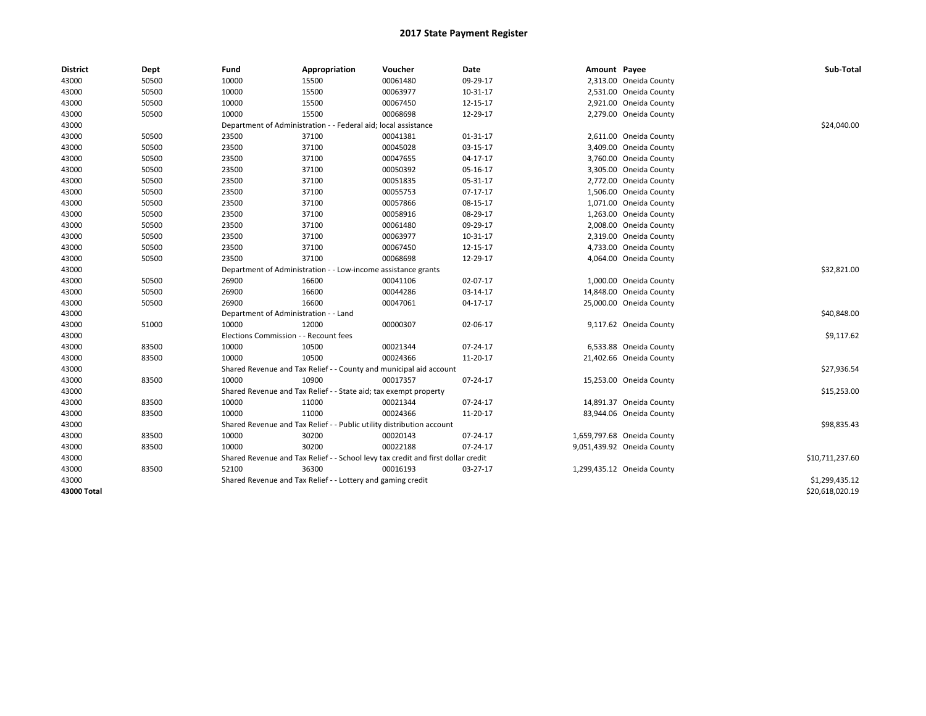| <b>District</b> | Dept  | Fund                                  | Appropriation                                                                    | Voucher  | Date       | Amount Payee |                            | Sub-Total       |
|-----------------|-------|---------------------------------------|----------------------------------------------------------------------------------|----------|------------|--------------|----------------------------|-----------------|
| 43000           | 50500 | 10000                                 | 15500                                                                            | 00061480 | 09-29-17   |              | 2,313.00 Oneida County     |                 |
| 43000           | 50500 | 10000                                 | 15500                                                                            | 00063977 | 10-31-17   |              | 2,531.00 Oneida County     |                 |
| 43000           | 50500 | 10000                                 | 15500                                                                            | 00067450 | 12-15-17   |              | 2,921.00 Oneida County     |                 |
| 43000           | 50500 | 10000                                 | 15500                                                                            | 00068698 | 12-29-17   |              | 2,279.00 Oneida County     |                 |
| 43000           |       |                                       | Department of Administration - - Federal aid; local assistance                   |          |            |              |                            | \$24,040.00     |
| 43000           | 50500 | 23500                                 | 37100                                                                            | 00041381 | 01-31-17   |              | 2,611.00 Oneida County     |                 |
| 43000           | 50500 | 23500                                 | 37100                                                                            | 00045028 | 03-15-17   |              | 3,409.00 Oneida County     |                 |
| 43000           | 50500 | 23500                                 | 37100                                                                            | 00047655 | 04-17-17   |              | 3,760.00 Oneida County     |                 |
| 43000           | 50500 | 23500                                 | 37100                                                                            | 00050392 | 05-16-17   |              | 3,305.00 Oneida County     |                 |
| 43000           | 50500 | 23500                                 | 37100                                                                            | 00051835 | 05-31-17   |              | 2,772.00 Oneida County     |                 |
| 43000           | 50500 | 23500                                 | 37100                                                                            | 00055753 | $07-17-17$ |              | 1,506.00 Oneida County     |                 |
| 43000           | 50500 | 23500                                 | 37100                                                                            | 00057866 | 08-15-17   |              | 1,071.00 Oneida County     |                 |
| 43000           | 50500 | 23500                                 | 37100                                                                            | 00058916 | 08-29-17   |              | 1,263.00 Oneida County     |                 |
| 43000           | 50500 | 23500                                 | 37100                                                                            | 00061480 | 09-29-17   |              | 2,008.00 Oneida County     |                 |
| 43000           | 50500 | 23500                                 | 37100                                                                            | 00063977 | 10-31-17   |              | 2,319.00 Oneida County     |                 |
| 43000           | 50500 | 23500                                 | 37100                                                                            | 00067450 | 12-15-17   |              | 4,733.00 Oneida County     |                 |
| 43000           | 50500 | 23500                                 | 37100                                                                            | 00068698 | 12-29-17   |              | 4,064.00 Oneida County     |                 |
| 43000           |       |                                       | Department of Administration - - Low-income assistance grants                    |          |            |              |                            | \$32,821.00     |
| 43000           | 50500 | 26900                                 | 16600                                                                            | 00041106 | 02-07-17   |              | 1,000.00 Oneida County     |                 |
| 43000           | 50500 | 26900                                 | 16600                                                                            | 00044286 | 03-14-17   |              | 14,848.00 Oneida County    |                 |
| 43000           | 50500 | 26900                                 | 16600                                                                            | 00047061 | 04-17-17   |              | 25,000.00 Oneida County    |                 |
| 43000           |       | Department of Administration - - Land |                                                                                  |          |            |              |                            | \$40,848.00     |
| 43000           | 51000 | 10000                                 | 12000                                                                            | 00000307 | 02-06-17   |              | 9,117.62 Oneida County     |                 |
| 43000           |       | Elections Commission - - Recount fees |                                                                                  |          |            |              |                            | \$9,117.62      |
| 43000           | 83500 | 10000                                 | 10500                                                                            | 00021344 | 07-24-17   |              | 6,533.88 Oneida County     |                 |
| 43000           | 83500 | 10000                                 | 10500                                                                            | 00024366 | 11-20-17   |              | 21,402.66 Oneida County    |                 |
| 43000           |       |                                       | Shared Revenue and Tax Relief - - County and municipal aid account               |          |            |              |                            | \$27,936.54     |
| 43000           | 83500 | 10000                                 | 10900                                                                            | 00017357 | 07-24-17   |              | 15,253.00 Oneida County    |                 |
| 43000           |       |                                       | Shared Revenue and Tax Relief - - State aid; tax exempt property                 |          |            |              |                            | \$15,253.00     |
| 43000           | 83500 | 10000                                 | 11000                                                                            | 00021344 | 07-24-17   |              | 14,891.37 Oneida County    |                 |
| 43000           | 83500 | 10000                                 | 11000                                                                            | 00024366 | 11-20-17   |              | 83,944.06 Oneida County    |                 |
| 43000           |       |                                       | Shared Revenue and Tax Relief - - Public utility distribution account            |          |            |              |                            | \$98,835.43     |
| 43000           | 83500 | 10000                                 | 30200                                                                            | 00020143 | 07-24-17   |              | 1,659,797.68 Oneida County |                 |
| 43000           | 83500 | 10000                                 | 30200                                                                            | 00022188 | 07-24-17   |              | 9,051,439.92 Oneida County |                 |
| 43000           |       |                                       | Shared Revenue and Tax Relief - - School levy tax credit and first dollar credit |          |            |              |                            | \$10,711,237.60 |
| 43000           | 83500 | 52100                                 | 36300                                                                            | 00016193 | 03-27-17   |              | 1,299,435.12 Oneida County |                 |
| 43000           |       |                                       | Shared Revenue and Tax Relief - - Lottery and gaming credit                      |          |            |              |                            | \$1,299,435.12  |
| 43000 Total     |       |                                       |                                                                                  |          |            |              |                            | \$20,618,020.19 |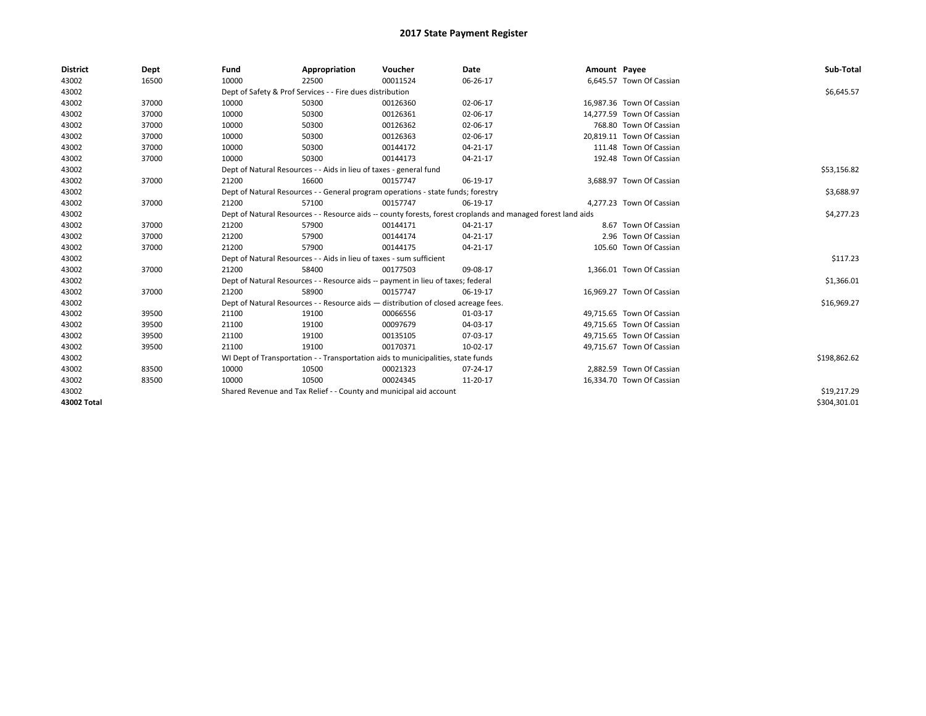| <b>District</b> | Dept  | Fund                                                               | Appropriation                                                                      | Voucher     | Date                                                                                                         | Amount Payee |                           | Sub-Total    |
|-----------------|-------|--------------------------------------------------------------------|------------------------------------------------------------------------------------|-------------|--------------------------------------------------------------------------------------------------------------|--------------|---------------------------|--------------|
| 43002           | 16500 | 10000                                                              | 22500                                                                              | 00011524    | 06-26-17                                                                                                     |              | 6,645.57 Town Of Cassian  |              |
| 43002           |       |                                                                    | Dept of Safety & Prof Services - - Fire dues distribution                          |             |                                                                                                              |              |                           | \$6,645.57   |
| 43002           | 37000 | 10000                                                              | 50300                                                                              | 00126360    | 02-06-17                                                                                                     |              | 16,987.36 Town Of Cassian |              |
| 43002           | 37000 | 10000                                                              | 50300                                                                              | 00126361    | 02-06-17                                                                                                     |              | 14,277.59 Town Of Cassian |              |
| 43002           | 37000 | 10000                                                              | 50300                                                                              | 00126362    | 02-06-17                                                                                                     |              | 768.80 Town Of Cassian    |              |
| 43002           | 37000 | 10000                                                              | 50300                                                                              | 00126363    | 02-06-17                                                                                                     |              | 20,819.11 Town Of Cassian |              |
| 43002           | 37000 | 10000                                                              | 50300                                                                              | 00144172    | 04-21-17                                                                                                     |              | 111.48 Town Of Cassian    |              |
| 43002           | 37000 | 10000                                                              | 50300                                                                              | 00144173    | 04-21-17                                                                                                     |              | 192.48 Town Of Cassian    |              |
| 43002           |       | Dept of Natural Resources - - Aids in lieu of taxes - general fund |                                                                                    | \$53,156.82 |                                                                                                              |              |                           |              |
| 43002           | 37000 | 21200                                                              | 16600                                                                              | 00157747    | 06-19-17                                                                                                     |              | 3,688.97 Town Of Cassian  |              |
| 43002           |       |                                                                    | Dept of Natural Resources - - General program operations - state funds; forestry   |             |                                                                                                              |              |                           | \$3,688.97   |
| 43002           | 37000 | 21200                                                              | 57100                                                                              | 00157747    | 06-19-17                                                                                                     |              | 4,277.23 Town Of Cassian  |              |
| 43002           |       |                                                                    |                                                                                    |             | Dept of Natural Resources - - Resource aids -- county forests, forest croplands and managed forest land aids |              |                           | \$4,277.23   |
| 43002           | 37000 | 21200                                                              | 57900                                                                              | 00144171    | $04 - 21 - 17$                                                                                               |              | 8.67 Town Of Cassian      |              |
| 43002           | 37000 | 21200                                                              | 57900                                                                              | 00144174    | $04 - 21 - 17$                                                                                               |              | 2.96 Town Of Cassian      |              |
| 43002           | 37000 | 21200                                                              | 57900                                                                              | 00144175    | 04-21-17                                                                                                     |              | 105.60 Town Of Cassian    |              |
| 43002           |       |                                                                    | Dept of Natural Resources - - Aids in lieu of taxes - sum sufficient               |             |                                                                                                              |              |                           | \$117.23     |
| 43002           | 37000 | 21200                                                              | 58400                                                                              | 00177503    | 09-08-17                                                                                                     |              | 1,366.01 Town Of Cassian  |              |
| 43002           |       |                                                                    | Dept of Natural Resources - - Resource aids -- payment in lieu of taxes; federal   |             |                                                                                                              |              |                           | \$1,366.01   |
| 43002           | 37000 | 21200                                                              | 58900                                                                              | 00157747    | 06-19-17                                                                                                     |              | 16.969.27 Town Of Cassian |              |
| 43002           |       |                                                                    | Dept of Natural Resources - - Resource aids - distribution of closed acreage fees. |             |                                                                                                              |              |                           | \$16,969.27  |
| 43002           | 39500 | 21100                                                              | 19100                                                                              | 00066556    | 01-03-17                                                                                                     |              | 49,715.65 Town Of Cassian |              |
| 43002           | 39500 | 21100                                                              | 19100                                                                              | 00097679    | 04-03-17                                                                                                     |              | 49,715.65 Town Of Cassian |              |
| 43002           | 39500 | 21100                                                              | 19100                                                                              | 00135105    | 07-03-17                                                                                                     |              | 49,715.65 Town Of Cassian |              |
| 43002           | 39500 | 21100                                                              | 19100                                                                              | 00170371    | 10-02-17                                                                                                     |              | 49,715.67 Town Of Cassian |              |
| 43002           |       |                                                                    | WI Dept of Transportation - - Transportation aids to municipalities, state funds   |             |                                                                                                              |              |                           | \$198,862.62 |
| 43002           | 83500 | 10000                                                              | 10500                                                                              | 00021323    | 07-24-17                                                                                                     |              | 2,882.59 Town Of Cassian  |              |
| 43002           | 83500 | 10000                                                              | 10500                                                                              | 00024345    | 11-20-17                                                                                                     |              | 16,334.70 Town Of Cassian |              |
| 43002           |       | Shared Revenue and Tax Relief - - County and municipal aid account |                                                                                    | \$19,217.29 |                                                                                                              |              |                           |              |
| 43002 Total     |       |                                                                    |                                                                                    |             |                                                                                                              |              |                           | \$304,301.01 |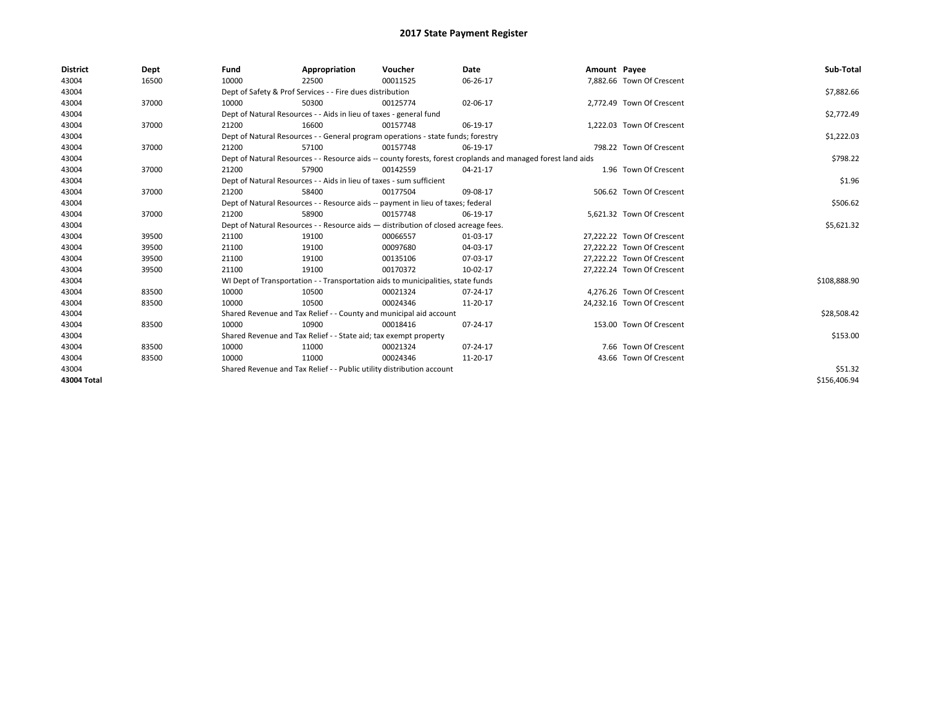| <b>District</b> | Dept  | Fund  | Appropriation                                                                                                | Voucher  | Date     | Amount Payee |                            | Sub-Total    |
|-----------------|-------|-------|--------------------------------------------------------------------------------------------------------------|----------|----------|--------------|----------------------------|--------------|
| 43004           | 16500 | 10000 | 22500                                                                                                        | 00011525 | 06-26-17 |              | 7,882.66 Town Of Crescent  |              |
| 43004           |       |       | Dept of Safety & Prof Services - - Fire dues distribution                                                    |          |          |              |                            | \$7,882.66   |
| 43004           | 37000 | 10000 | 50300                                                                                                        | 00125774 | 02-06-17 |              | 2,772.49 Town Of Crescent  |              |
| 43004           |       |       | Dept of Natural Resources - - Aids in lieu of taxes - general fund                                           |          |          |              |                            | \$2,772.49   |
| 43004           | 37000 | 21200 | 16600                                                                                                        | 00157748 | 06-19-17 |              | 1,222.03 Town Of Crescent  |              |
| 43004           |       |       | Dept of Natural Resources - - General program operations - state funds; forestry                             |          |          |              |                            | \$1,222.03   |
| 43004           | 37000 | 21200 | 57100                                                                                                        | 00157748 | 06-19-17 |              | 798.22 Town Of Crescent    |              |
| 43004           |       |       | Dept of Natural Resources - - Resource aids -- county forests, forest croplands and managed forest land aids |          | \$798.22 |              |                            |              |
| 43004           | 37000 | 21200 | 57900                                                                                                        | 00142559 | 04-21-17 |              | 1.96 Town Of Crescent      |              |
| 43004           |       |       | Dept of Natural Resources - - Aids in lieu of taxes - sum sufficient                                         |          |          |              |                            | \$1.96       |
| 43004           | 37000 | 21200 | 58400                                                                                                        | 00177504 | 09-08-17 |              | 506.62 Town Of Crescent    |              |
| 43004           |       |       | Dept of Natural Resources - - Resource aids -- payment in lieu of taxes; federal                             |          |          |              |                            | \$506.62     |
| 43004           | 37000 | 21200 | 58900                                                                                                        | 00157748 | 06-19-17 |              | 5,621.32 Town Of Crescent  |              |
| 43004           |       |       | Dept of Natural Resources - - Resource aids - distribution of closed acreage fees.                           |          |          |              |                            | \$5,621.32   |
| 43004           | 39500 | 21100 | 19100                                                                                                        | 00066557 | 01-03-17 |              | 27,222.22 Town Of Crescent |              |
| 43004           | 39500 | 21100 | 19100                                                                                                        | 00097680 | 04-03-17 |              | 27.222.22 Town Of Crescent |              |
| 43004           | 39500 | 21100 | 19100                                                                                                        | 00135106 | 07-03-17 |              | 27,222.22 Town Of Crescent |              |
| 43004           | 39500 | 21100 | 19100                                                                                                        | 00170372 | 10-02-17 |              | 27,222.24 Town Of Crescent |              |
| 43004           |       |       | WI Dept of Transportation - - Transportation aids to municipalities, state funds                             |          |          |              |                            | \$108,888.90 |
| 43004           | 83500 | 10000 | 10500                                                                                                        | 00021324 | 07-24-17 |              | 4,276.26 Town Of Crescent  |              |
| 43004           | 83500 | 10000 | 10500                                                                                                        | 00024346 | 11-20-17 |              | 24,232.16 Town Of Crescent |              |
| 43004           |       |       | Shared Revenue and Tax Relief - - County and municipal aid account                                           |          |          |              |                            | \$28,508.42  |
| 43004           | 83500 | 10000 | 10900                                                                                                        | 00018416 | 07-24-17 |              | 153.00 Town Of Crescent    |              |
| 43004           |       |       | Shared Revenue and Tax Relief - - State aid; tax exempt property                                             |          |          |              |                            | \$153.00     |
| 43004           | 83500 | 10000 | 11000                                                                                                        | 00021324 | 07-24-17 |              | 7.66 Town Of Crescent      |              |
| 43004           | 83500 | 10000 | 11000                                                                                                        | 00024346 | 11-20-17 |              | 43.66 Town Of Crescent     |              |
| 43004           |       |       | Shared Revenue and Tax Relief - - Public utility distribution account                                        |          |          |              |                            | \$51.32      |
| 43004 Total     |       |       |                                                                                                              |          |          |              |                            | \$156,406.94 |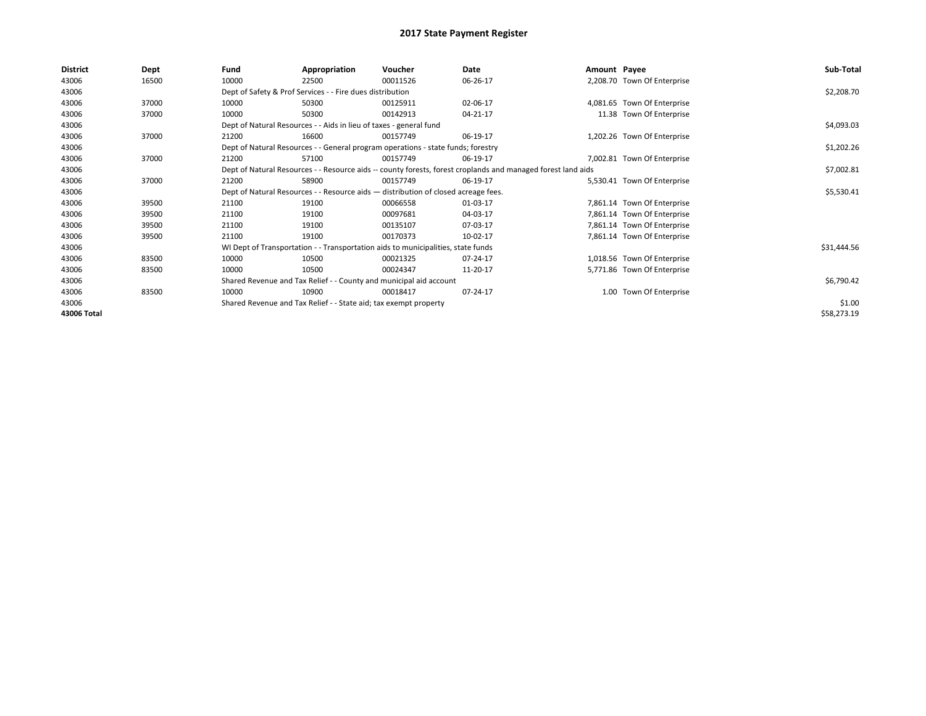| <b>District</b> | Dept  | Fund  | Appropriation                                                                      | Voucher  | Date                                                                                                         | Amount Payee |                             | Sub-Total   |  |  |  |
|-----------------|-------|-------|------------------------------------------------------------------------------------|----------|--------------------------------------------------------------------------------------------------------------|--------------|-----------------------------|-------------|--|--|--|
| 43006           | 16500 | 10000 | 22500                                                                              | 00011526 | 06-26-17                                                                                                     |              | 2,208.70 Town Of Enterprise |             |  |  |  |
| 43006           |       |       | Dept of Safety & Prof Services - - Fire dues distribution                          |          |                                                                                                              |              |                             | \$2,208.70  |  |  |  |
| 43006           | 37000 | 10000 | 50300                                                                              | 00125911 | 02-06-17                                                                                                     |              | 4,081.65 Town Of Enterprise |             |  |  |  |
| 43006           | 37000 | 10000 | 50300                                                                              | 00142913 | 04-21-17                                                                                                     |              | 11.38 Town Of Enterprise    |             |  |  |  |
| 43006           |       |       | Dept of Natural Resources - - Aids in lieu of taxes - general fund                 |          |                                                                                                              |              |                             | \$4,093.03  |  |  |  |
| 43006           | 37000 | 21200 | 16600                                                                              | 00157749 | 06-19-17                                                                                                     |              | 1,202.26 Town Of Enterprise |             |  |  |  |
| 43006           |       |       | Dept of Natural Resources - - General program operations - state funds; forestry   |          |                                                                                                              |              |                             | \$1,202.26  |  |  |  |
| 43006           | 37000 | 21200 | 57100                                                                              | 00157749 | 06-19-17                                                                                                     |              | 7,002.81 Town Of Enterprise |             |  |  |  |
| 43006           |       |       |                                                                                    |          | Dept of Natural Resources - - Resource aids -- county forests, forest croplands and managed forest land aids |              |                             | \$7,002.81  |  |  |  |
| 43006           | 37000 | 21200 | 58900                                                                              | 00157749 | 06-19-17                                                                                                     |              | 5,530.41 Town Of Enterprise |             |  |  |  |
| 43006           |       |       | Dept of Natural Resources - - Resource aids - distribution of closed acreage fees. |          |                                                                                                              |              |                             |             |  |  |  |
| 43006           | 39500 | 21100 | 19100                                                                              | 00066558 | 01-03-17                                                                                                     |              | 7,861.14 Town Of Enterprise |             |  |  |  |
| 43006           | 39500 | 21100 | 19100                                                                              | 00097681 | 04-03-17                                                                                                     |              | 7,861.14 Town Of Enterprise |             |  |  |  |
| 43006           | 39500 | 21100 | 19100                                                                              | 00135107 | 07-03-17                                                                                                     |              | 7,861.14 Town Of Enterprise |             |  |  |  |
| 43006           | 39500 | 21100 | 19100                                                                              | 00170373 | 10-02-17                                                                                                     |              | 7,861.14 Town Of Enterprise |             |  |  |  |
| 43006           |       |       | WI Dept of Transportation - - Transportation aids to municipalities, state funds   |          |                                                                                                              |              |                             | \$31,444.56 |  |  |  |
| 43006           | 83500 | 10000 | 10500                                                                              | 00021325 | 07-24-17                                                                                                     |              | 1,018.56 Town Of Enterprise |             |  |  |  |
| 43006           | 83500 | 10000 | 10500                                                                              | 00024347 | 11-20-17                                                                                                     |              | 5,771.86 Town Of Enterprise |             |  |  |  |
| 43006           |       |       | Shared Revenue and Tax Relief - - County and municipal aid account                 |          |                                                                                                              |              |                             | \$6,790.42  |  |  |  |
| 43006           | 83500 | 10000 | 10900                                                                              | 00018417 | 07-24-17                                                                                                     |              | 1.00 Town Of Enterprise     |             |  |  |  |
| 43006           |       |       | Shared Revenue and Tax Relief - - State aid; tax exempt property                   |          |                                                                                                              |              |                             | \$1.00      |  |  |  |
| 43006 Total     |       |       |                                                                                    |          |                                                                                                              |              |                             | \$58,273.19 |  |  |  |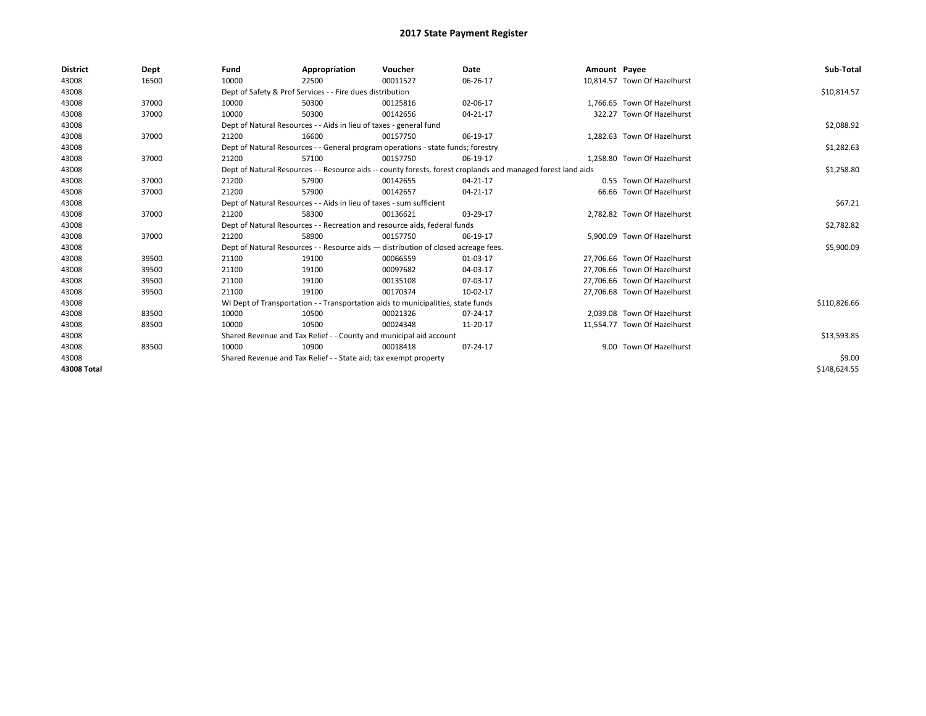| <b>District</b> | Dept  | Fund  | Appropriation                                                                      | Voucher  | Date                                                                                                         | Amount Payee |                              | Sub-Total    |  |  |
|-----------------|-------|-------|------------------------------------------------------------------------------------|----------|--------------------------------------------------------------------------------------------------------------|--------------|------------------------------|--------------|--|--|
| 43008           | 16500 | 10000 | 22500                                                                              | 00011527 | 06-26-17                                                                                                     |              | 10.814.57 Town Of Hazelhurst |              |  |  |
| 43008           |       |       | Dept of Safety & Prof Services - - Fire dues distribution                          |          |                                                                                                              |              |                              | \$10,814.57  |  |  |
| 43008           | 37000 | 10000 | 50300                                                                              | 00125816 | 02-06-17                                                                                                     |              | 1.766.65 Town Of Hazelhurst  |              |  |  |
| 43008           | 37000 | 10000 | 50300                                                                              | 00142656 | 04-21-17                                                                                                     |              | 322.27 Town Of Hazelhurst    |              |  |  |
| 43008           |       |       | Dept of Natural Resources - - Aids in lieu of taxes - general fund                 |          |                                                                                                              |              |                              | \$2,088.92   |  |  |
| 43008           | 37000 | 21200 | 16600                                                                              | 00157750 | 06-19-17                                                                                                     |              | 1.282.63 Town Of Hazelhurst  |              |  |  |
| 43008           |       |       | Dept of Natural Resources - - General program operations - state funds; forestry   |          |                                                                                                              |              |                              |              |  |  |
| 43008           | 37000 | 21200 | 57100                                                                              | 00157750 | 06-19-17                                                                                                     |              | 1,258.80 Town Of Hazelhurst  |              |  |  |
| 43008           |       |       |                                                                                    |          | Dept of Natural Resources - - Resource aids -- county forests, forest croplands and managed forest land aids |              |                              | \$1,258.80   |  |  |
| 43008           | 37000 | 21200 | 57900                                                                              | 00142655 | 04-21-17                                                                                                     |              | 0.55 Town Of Hazelhurst      |              |  |  |
| 43008           | 37000 | 21200 | 57900                                                                              | 00142657 | 04-21-17                                                                                                     |              | 66.66 Town Of Hazelhurst     |              |  |  |
| 43008           |       |       | Dept of Natural Resources - - Aids in lieu of taxes - sum sufficient               |          |                                                                                                              |              |                              | \$67.21      |  |  |
| 43008           | 37000 | 21200 | 58300                                                                              | 00136621 | 03-29-17                                                                                                     |              | 2,782.82 Town Of Hazelhurst  |              |  |  |
| 43008           |       |       | Dept of Natural Resources - - Recreation and resource aids, federal funds          |          |                                                                                                              |              |                              | \$2,782.82   |  |  |
| 43008           | 37000 | 21200 | 58900                                                                              | 00157750 | 06-19-17                                                                                                     |              | 5.900.09 Town Of Hazelhurst  |              |  |  |
| 43008           |       |       | Dept of Natural Resources - - Resource aids - distribution of closed acreage fees. |          |                                                                                                              |              |                              | \$5,900.09   |  |  |
| 43008           | 39500 | 21100 | 19100                                                                              | 00066559 | 01-03-17                                                                                                     |              | 27,706.66 Town Of Hazelhurst |              |  |  |
| 43008           | 39500 | 21100 | 19100                                                                              | 00097682 | 04-03-17                                                                                                     |              | 27.706.66 Town Of Hazelhurst |              |  |  |
| 43008           | 39500 | 21100 | 19100                                                                              | 00135108 | 07-03-17                                                                                                     |              | 27,706.66 Town Of Hazelhurst |              |  |  |
| 43008           | 39500 | 21100 | 19100                                                                              | 00170374 | 10-02-17                                                                                                     |              | 27,706.68 Town Of Hazelhurst |              |  |  |
| 43008           |       |       | WI Dept of Transportation - - Transportation aids to municipalities, state funds   |          |                                                                                                              |              |                              | \$110,826.66 |  |  |
| 43008           | 83500 | 10000 | 10500                                                                              | 00021326 | 07-24-17                                                                                                     |              | 2,039.08 Town Of Hazelhurst  |              |  |  |
| 43008           | 83500 | 10000 | 10500                                                                              | 00024348 | 11-20-17                                                                                                     |              | 11,554.77 Town Of Hazelhurst |              |  |  |
| 43008           |       |       | Shared Revenue and Tax Relief - - County and municipal aid account                 |          |                                                                                                              |              |                              | \$13,593.85  |  |  |
| 43008           | 83500 | 10000 | 10900                                                                              | 00018418 | 07-24-17                                                                                                     |              | 9.00 Town Of Hazelhurst      |              |  |  |
| 43008           |       |       | Shared Revenue and Tax Relief - - State aid; tax exempt property                   |          |                                                                                                              |              |                              | \$9.00       |  |  |
| 43008 Total     |       |       |                                                                                    |          |                                                                                                              |              |                              | \$148,624.55 |  |  |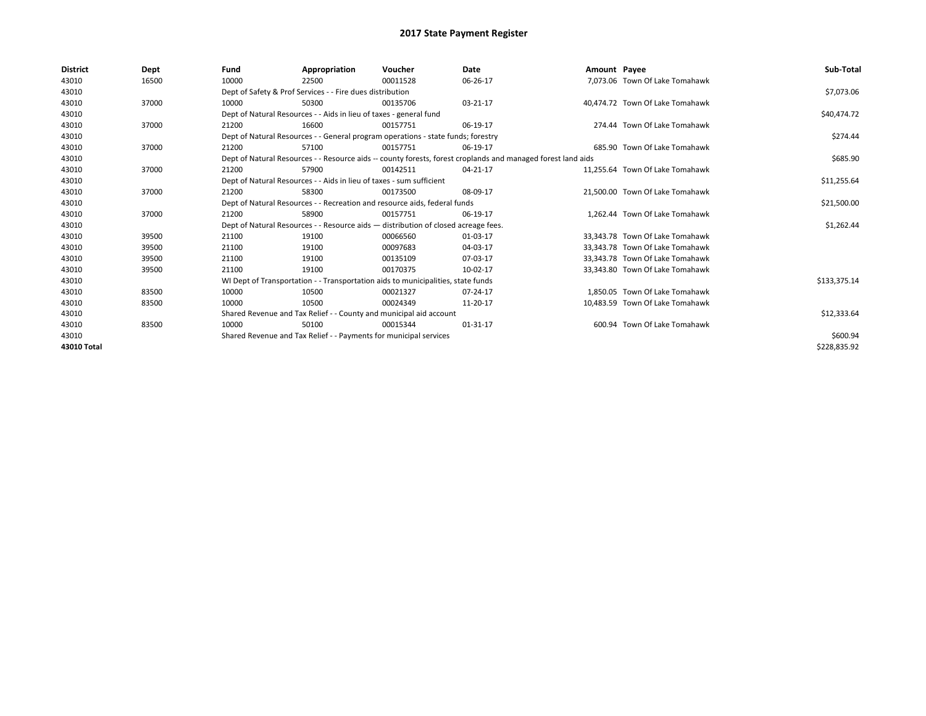| <b>District</b> | Dept  | Fund  | Appropriation                                                                                                | Voucher  | Date     | Amount Payee |                                 | Sub-Total    |  |  |
|-----------------|-------|-------|--------------------------------------------------------------------------------------------------------------|----------|----------|--------------|---------------------------------|--------------|--|--|
| 43010           | 16500 | 10000 | 22500                                                                                                        | 00011528 | 06-26-17 |              | 7.073.06 Town Of Lake Tomahawk  |              |  |  |
| 43010           |       |       | Dept of Safety & Prof Services - - Fire dues distribution                                                    |          |          |              |                                 | \$7,073.06   |  |  |
| 43010           | 37000 | 10000 | 50300                                                                                                        | 00135706 | 03-21-17 |              | 40.474.72 Town Of Lake Tomahawk |              |  |  |
| 43010           |       |       | Dept of Natural Resources - - Aids in lieu of taxes - general fund                                           |          |          |              |                                 | \$40,474.72  |  |  |
| 43010           | 37000 | 21200 | 16600                                                                                                        | 00157751 | 06-19-17 |              | 274.44 Town Of Lake Tomahawk    |              |  |  |
| 43010           |       |       | Dept of Natural Resources - - General program operations - state funds; forestry                             |          |          |              |                                 | \$274.44     |  |  |
| 43010           | 37000 | 21200 | 57100                                                                                                        | 00157751 | 06-19-17 |              | 685.90 Town Of Lake Tomahawk    |              |  |  |
| 43010           |       |       | Dept of Natural Resources - - Resource aids -- county forests, forest croplands and managed forest land aids |          |          |              |                                 | \$685.90     |  |  |
| 43010           | 37000 | 21200 | 57900                                                                                                        | 00142511 | 04-21-17 |              | 11,255.64 Town Of Lake Tomahawk |              |  |  |
| 43010           |       |       | Dept of Natural Resources - - Aids in lieu of taxes - sum sufficient                                         |          |          |              |                                 | \$11,255.64  |  |  |
| 43010           | 37000 | 21200 | 58300                                                                                                        | 00173500 | 08-09-17 |              | 21,500.00 Town Of Lake Tomahawk |              |  |  |
| 43010           |       |       | Dept of Natural Resources - - Recreation and resource aids, federal funds                                    |          |          |              |                                 | \$21,500.00  |  |  |
| 43010           | 37000 | 21200 | 58900                                                                                                        | 00157751 | 06-19-17 |              | 1,262.44 Town Of Lake Tomahawk  |              |  |  |
| 43010           |       |       | Dept of Natural Resources - - Resource aids - distribution of closed acreage fees.                           |          |          |              |                                 | \$1,262.44   |  |  |
| 43010           | 39500 | 21100 | 19100                                                                                                        | 00066560 | 01-03-17 |              | 33,343.78 Town Of Lake Tomahawk |              |  |  |
| 43010           | 39500 | 21100 | 19100                                                                                                        | 00097683 | 04-03-17 |              | 33.343.78 Town Of Lake Tomahawk |              |  |  |
| 43010           | 39500 | 21100 | 19100                                                                                                        | 00135109 | 07-03-17 |              | 33.343.78 Town Of Lake Tomahawk |              |  |  |
| 43010           | 39500 | 21100 | 19100                                                                                                        | 00170375 | 10-02-17 |              | 33,343.80 Town Of Lake Tomahawk |              |  |  |
| 43010           |       |       | WI Dept of Transportation - - Transportation aids to municipalities, state funds                             |          |          |              |                                 | \$133,375.14 |  |  |
| 43010           | 83500 | 10000 | 10500                                                                                                        | 00021327 | 07-24-17 |              | 1.850.05 Town Of Lake Tomahawk  |              |  |  |
| 43010           | 83500 | 10000 | 10500                                                                                                        | 00024349 | 11-20-17 |              | 10,483.59 Town Of Lake Tomahawk |              |  |  |
| 43010           |       |       | Shared Revenue and Tax Relief - - County and municipal aid account                                           |          |          |              |                                 | \$12,333.64  |  |  |
| 43010           | 83500 | 10000 | 50100                                                                                                        | 00015344 | 01-31-17 |              | 600.94 Town Of Lake Tomahawk    |              |  |  |
| 43010           |       |       | Shared Revenue and Tax Relief - - Payments for municipal services                                            |          |          |              |                                 |              |  |  |
| 43010 Total     |       |       |                                                                                                              |          |          |              |                                 | \$228,835.92 |  |  |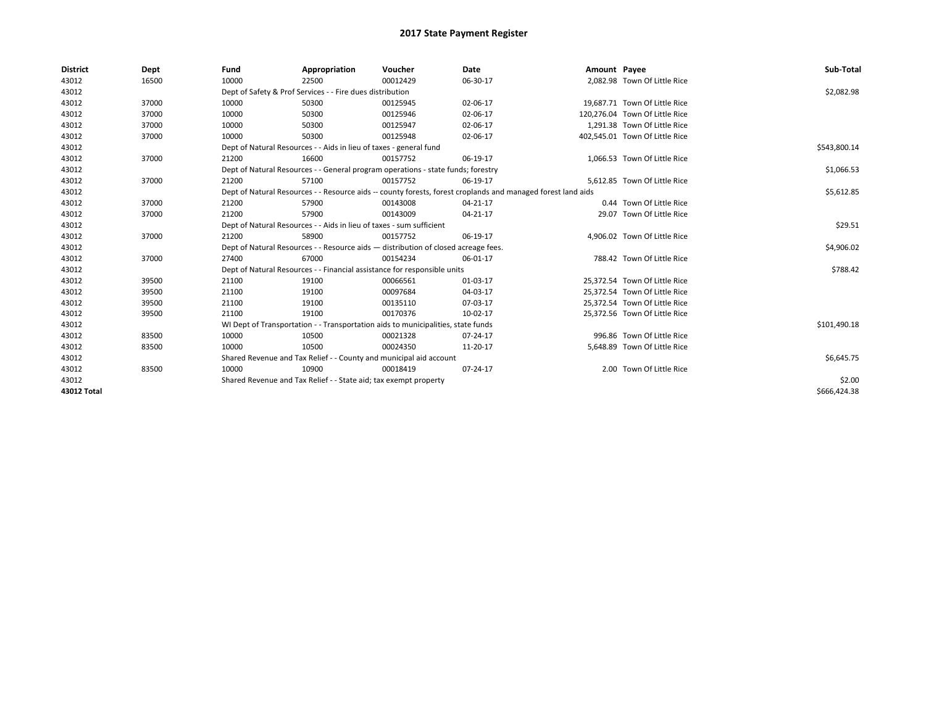| <b>District</b> | Dept  | Fund                                                             | Appropriation                                                                      | Voucher  | Date                                                                                                         | Amount Payee |                                | Sub-Total    |
|-----------------|-------|------------------------------------------------------------------|------------------------------------------------------------------------------------|----------|--------------------------------------------------------------------------------------------------------------|--------------|--------------------------------|--------------|
| 43012           | 16500 | 10000                                                            | 22500                                                                              | 00012429 | 06-30-17                                                                                                     |              | 2.082.98 Town Of Little Rice   |              |
| 43012           |       |                                                                  | Dept of Safety & Prof Services - - Fire dues distribution                          |          |                                                                                                              |              |                                | \$2,082.98   |
| 43012           | 37000 | 10000                                                            | 50300                                                                              | 00125945 | 02-06-17                                                                                                     |              | 19,687.71 Town Of Little Rice  |              |
| 43012           | 37000 | 10000                                                            | 50300                                                                              | 00125946 | 02-06-17                                                                                                     |              | 120,276.04 Town Of Little Rice |              |
| 43012           | 37000 | 10000                                                            | 50300                                                                              | 00125947 | 02-06-17                                                                                                     |              | 1,291.38 Town Of Little Rice   |              |
| 43012           | 37000 | 10000                                                            | 50300                                                                              | 00125948 | 02-06-17                                                                                                     |              | 402,545.01 Town Of Little Rice |              |
| 43012           |       |                                                                  | Dept of Natural Resources - - Aids in lieu of taxes - general fund                 |          |                                                                                                              |              |                                | \$543,800.14 |
| 43012           | 37000 | 21200                                                            | 16600                                                                              | 00157752 | 06-19-17                                                                                                     |              | 1.066.53 Town Of Little Rice   |              |
| 43012           |       |                                                                  | Dept of Natural Resources - - General program operations - state funds; forestry   |          |                                                                                                              |              |                                | \$1,066.53   |
| 43012           | 37000 | 21200                                                            | 57100                                                                              | 00157752 | 06-19-17                                                                                                     |              | 5,612.85 Town Of Little Rice   |              |
| 43012           |       |                                                                  |                                                                                    |          | Dept of Natural Resources - - Resource aids -- county forests, forest croplands and managed forest land aids |              |                                | \$5,612.85   |
| 43012           | 37000 | 21200                                                            | 57900                                                                              | 00143008 | 04-21-17                                                                                                     |              | 0.44 Town Of Little Rice       |              |
| 43012           | 37000 | 21200                                                            | 57900                                                                              | 00143009 | 04-21-17                                                                                                     |              | 29.07 Town Of Little Rice      |              |
| 43012           |       |                                                                  | Dept of Natural Resources - - Aids in lieu of taxes - sum sufficient               |          |                                                                                                              |              |                                | \$29.51      |
| 43012           | 37000 | 21200                                                            | 58900                                                                              | 00157752 | 06-19-17                                                                                                     |              | 4,906.02 Town Of Little Rice   |              |
| 43012           |       |                                                                  | Dept of Natural Resources - - Resource aids - distribution of closed acreage fees. |          |                                                                                                              |              |                                | \$4,906.02   |
| 43012           | 37000 | 27400                                                            | 67000                                                                              | 00154234 | 06-01-17                                                                                                     |              | 788.42 Town Of Little Rice     |              |
| 43012           |       |                                                                  | Dept of Natural Resources - - Financial assistance for responsible units           |          |                                                                                                              |              |                                | \$788.42     |
| 43012           | 39500 | 21100                                                            | 19100                                                                              | 00066561 | 01-03-17                                                                                                     |              | 25,372.54 Town Of Little Rice  |              |
| 43012           | 39500 | 21100                                                            | 19100                                                                              | 00097684 | 04-03-17                                                                                                     |              | 25,372.54 Town Of Little Rice  |              |
| 43012           | 39500 | 21100                                                            | 19100                                                                              | 00135110 | 07-03-17                                                                                                     |              | 25,372.54 Town Of Little Rice  |              |
| 43012           | 39500 | 21100                                                            | 19100                                                                              | 00170376 | 10-02-17                                                                                                     |              | 25,372.56 Town Of Little Rice  |              |
| 43012           |       |                                                                  | WI Dept of Transportation - - Transportation aids to municipalities, state funds   |          |                                                                                                              |              |                                | \$101,490.18 |
| 43012           | 83500 | 10000                                                            | 10500                                                                              | 00021328 | 07-24-17                                                                                                     |              | 996.86 Town Of Little Rice     |              |
| 43012           | 83500 | 10000                                                            | 10500                                                                              | 00024350 | 11-20-17                                                                                                     |              | 5,648.89 Town Of Little Rice   |              |
| 43012           |       |                                                                  | Shared Revenue and Tax Relief - - County and municipal aid account                 |          |                                                                                                              |              |                                | \$6,645.75   |
| 43012           | 83500 | 10000                                                            | 10900                                                                              | 00018419 | 07-24-17                                                                                                     |              | 2.00 Town Of Little Rice       |              |
| 43012           |       | Shared Revenue and Tax Relief - - State aid; tax exempt property |                                                                                    | \$2.00   |                                                                                                              |              |                                |              |
| 43012 Total     |       |                                                                  |                                                                                    |          |                                                                                                              |              |                                | \$666,424.38 |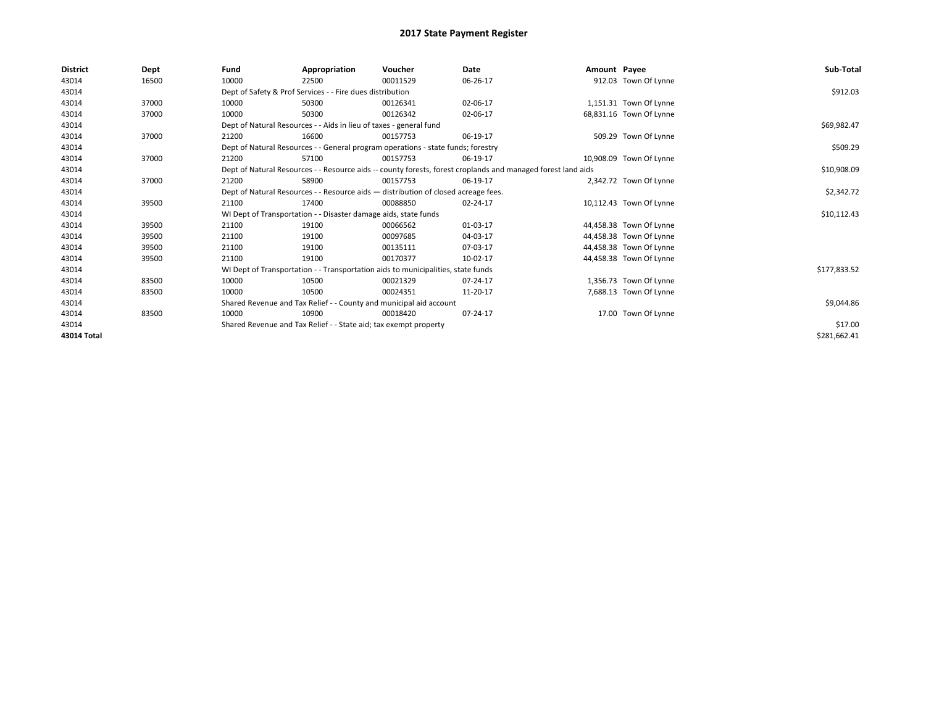| <b>District</b> | Dept  | Fund  | Appropriation                                                      | Voucher                                                                            | Date                                                                                                         | Amount Payee |                         | Sub-Total    |
|-----------------|-------|-------|--------------------------------------------------------------------|------------------------------------------------------------------------------------|--------------------------------------------------------------------------------------------------------------|--------------|-------------------------|--------------|
| 43014           | 16500 | 10000 | 22500                                                              | 00011529                                                                           | 06-26-17                                                                                                     |              | 912.03 Town Of Lynne    |              |
| 43014           |       |       | Dept of Safety & Prof Services - - Fire dues distribution          |                                                                                    |                                                                                                              |              |                         | \$912.03     |
| 43014           | 37000 | 10000 | 50300                                                              | 00126341                                                                           | 02-06-17                                                                                                     |              | 1,151.31 Town Of Lynne  |              |
| 43014           | 37000 | 10000 | 50300                                                              | 00126342                                                                           | 02-06-17                                                                                                     |              | 68,831.16 Town Of Lynne |              |
| 43014           |       |       | Dept of Natural Resources - - Aids in lieu of taxes - general fund |                                                                                    |                                                                                                              |              |                         | \$69,982.47  |
| 43014           | 37000 | 21200 | 16600                                                              | 00157753                                                                           | 06-19-17                                                                                                     |              | 509.29 Town Of Lynne    |              |
| 43014           |       |       |                                                                    | Dept of Natural Resources - - General program operations - state funds; forestry   |                                                                                                              |              |                         | \$509.29     |
| 43014           | 37000 | 21200 | 57100                                                              | 00157753                                                                           | 06-19-17                                                                                                     |              | 10,908.09 Town Of Lynne |              |
| 43014           |       |       |                                                                    |                                                                                    | Dept of Natural Resources - - Resource aids -- county forests, forest croplands and managed forest land aids |              |                         | \$10,908.09  |
| 43014           | 37000 | 21200 | 58900                                                              | 00157753                                                                           | 06-19-17                                                                                                     |              | 2,342.72 Town Of Lynne  |              |
| 43014           |       |       |                                                                    | Dept of Natural Resources - - Resource aids - distribution of closed acreage fees. |                                                                                                              |              |                         | \$2,342.72   |
| 43014           | 39500 | 21100 | 17400                                                              | 00088850                                                                           | 02-24-17                                                                                                     |              | 10,112.43 Town Of Lynne |              |
| 43014           |       |       | WI Dept of Transportation - - Disaster damage aids, state funds    |                                                                                    |                                                                                                              |              |                         | \$10,112.43  |
| 43014           | 39500 | 21100 | 19100                                                              | 00066562                                                                           | 01-03-17                                                                                                     |              | 44,458.38 Town Of Lynne |              |
| 43014           | 39500 | 21100 | 19100                                                              | 00097685                                                                           | 04-03-17                                                                                                     |              | 44,458.38 Town Of Lynne |              |
| 43014           | 39500 | 21100 | 19100                                                              | 00135111                                                                           | 07-03-17                                                                                                     |              | 44,458.38 Town Of Lynne |              |
| 43014           | 39500 | 21100 | 19100                                                              | 00170377                                                                           | 10-02-17                                                                                                     |              | 44,458.38 Town Of Lynne |              |
| 43014           |       |       |                                                                    | WI Dept of Transportation - - Transportation aids to municipalities, state funds   |                                                                                                              |              |                         | \$177,833.52 |
| 43014           | 83500 | 10000 | 10500                                                              | 00021329                                                                           | 07-24-17                                                                                                     |              | 1,356.73 Town Of Lynne  |              |
| 43014           | 83500 | 10000 | 10500                                                              | 00024351                                                                           | 11-20-17                                                                                                     |              | 7,688.13 Town Of Lynne  |              |
| 43014           |       |       |                                                                    | Shared Revenue and Tax Relief - - County and municipal aid account                 |                                                                                                              |              |                         | \$9,044.86   |
| 43014           | 83500 | 10000 | 10900                                                              | 00018420                                                                           | 07-24-17                                                                                                     |              | 17.00 Town Of Lynne     |              |
| 43014           |       |       | Shared Revenue and Tax Relief - - State aid; tax exempt property   |                                                                                    |                                                                                                              |              |                         | \$17.00      |
| 43014 Total     |       |       |                                                                    |                                                                                    |                                                                                                              |              |                         | \$281,662.41 |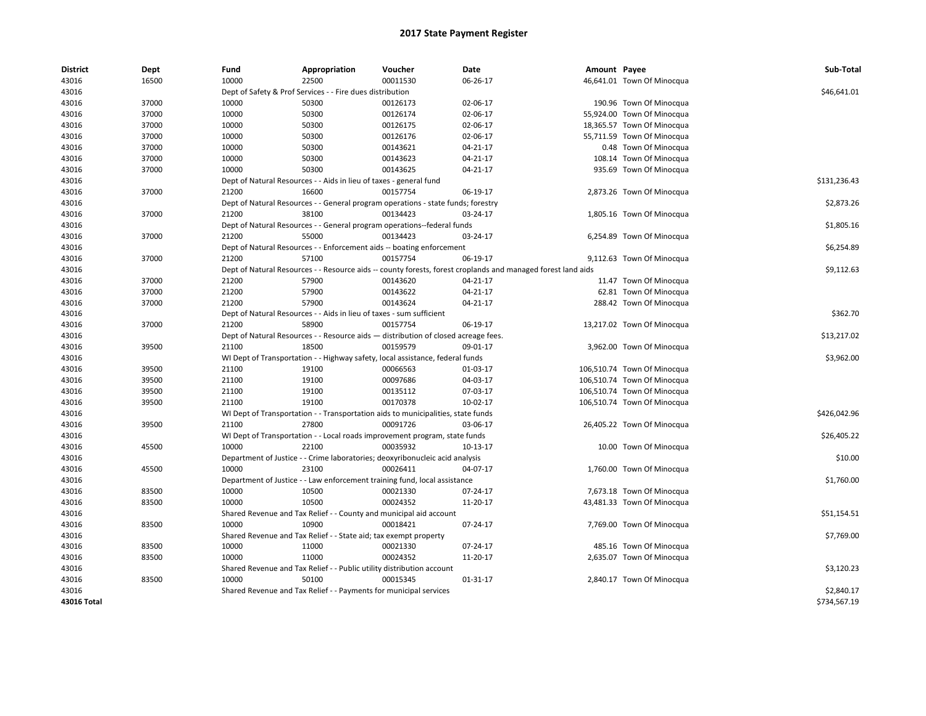| <b>District</b> | Dept  | Fund  | Appropriation                                                         | Voucher                                                                                      | Date                                                                                                         | Amount Payee |                             | Sub-Total    |
|-----------------|-------|-------|-----------------------------------------------------------------------|----------------------------------------------------------------------------------------------|--------------------------------------------------------------------------------------------------------------|--------------|-----------------------------|--------------|
| 43016           | 16500 | 10000 | 22500                                                                 | 00011530                                                                                     | 06-26-17                                                                                                     |              | 46,641.01 Town Of Minocqua  |              |
| 43016           |       |       | Dept of Safety & Prof Services - - Fire dues distribution             |                                                                                              |                                                                                                              |              |                             | \$46,641.01  |
| 43016           | 37000 | 10000 | 50300                                                                 | 00126173                                                                                     | 02-06-17                                                                                                     |              | 190.96 Town Of Minocqua     |              |
| 43016           | 37000 | 10000 | 50300                                                                 | 00126174                                                                                     | 02-06-17                                                                                                     |              | 55,924.00 Town Of Minocqua  |              |
| 43016           | 37000 | 10000 | 50300                                                                 | 00126175                                                                                     | 02-06-17                                                                                                     |              | 18,365.57 Town Of Minocqua  |              |
| 43016           | 37000 | 10000 | 50300                                                                 | 00126176                                                                                     | 02-06-17                                                                                                     |              | 55,711.59 Town Of Minocqua  |              |
| 43016           | 37000 | 10000 | 50300                                                                 | 00143621                                                                                     | 04-21-17                                                                                                     |              | 0.48 Town Of Minocqua       |              |
| 43016           | 37000 | 10000 | 50300                                                                 | 00143623                                                                                     | 04-21-17                                                                                                     |              | 108.14 Town Of Minocqua     |              |
| 43016           | 37000 | 10000 | 50300                                                                 | 00143625                                                                                     | $04 - 21 - 17$                                                                                               |              | 935.69 Town Of Minocqua     |              |
| 43016           |       |       | Dept of Natural Resources - - Aids in lieu of taxes - general fund    |                                                                                              |                                                                                                              |              |                             | \$131,236.43 |
| 43016           | 37000 | 21200 | 16600                                                                 | 00157754                                                                                     | 06-19-17                                                                                                     |              | 2,873.26 Town Of Minocqua   |              |
| 43016           |       |       |                                                                       | Dept of Natural Resources - - General program operations - state funds; forestry             |                                                                                                              |              |                             | \$2,873.26   |
| 43016           | 37000 | 21200 | 38100                                                                 | 00134423                                                                                     | 03-24-17                                                                                                     |              | 1,805.16 Town Of Minocqua   |              |
| 43016           |       |       |                                                                       | Dept of Natural Resources - - General program operations--federal funds                      |                                                                                                              |              |                             | \$1,805.16   |
| 43016           | 37000 | 21200 | 55000                                                                 | 00134423                                                                                     | 03-24-17                                                                                                     |              | 6,254.89 Town Of Minocqua   |              |
| 43016           |       |       |                                                                       | Dept of Natural Resources - - Enforcement aids -- boating enforcement                        |                                                                                                              |              |                             | \$6,254.89   |
| 43016           | 37000 | 21200 | 57100                                                                 | 00157754                                                                                     | 06-19-17                                                                                                     |              | 9,112.63 Town Of Minocqua   |              |
| 43016           |       |       |                                                                       |                                                                                              | Dept of Natural Resources - - Resource aids -- county forests, forest croplands and managed forest land aids |              |                             | \$9,112.63   |
| 43016           | 37000 | 21200 | 57900                                                                 | 00143620                                                                                     | 04-21-17                                                                                                     |              | 11.47 Town Of Minocqua      |              |
| 43016           | 37000 | 21200 | 57900                                                                 | 00143622                                                                                     | 04-21-17                                                                                                     |              | 62.81 Town Of Minocqua      |              |
| 43016           | 37000 | 21200 | 57900                                                                 | 00143624                                                                                     | 04-21-17                                                                                                     |              | 288.42 Town Of Minocqua     |              |
| 43016           |       |       | Dept of Natural Resources - - Aids in lieu of taxes - sum sufficient  |                                                                                              |                                                                                                              |              |                             | \$362.70     |
| 43016           | 37000 | 21200 | 58900                                                                 | 00157754                                                                                     | 06-19-17                                                                                                     |              | 13,217.02 Town Of Minocqua  |              |
| 43016           |       |       |                                                                       | Dept of Natural Resources - - Resource aids - distribution of closed acreage fees.           |                                                                                                              |              |                             | \$13,217.02  |
| 43016           | 39500 | 21100 | 18500                                                                 | 00159579                                                                                     | 09-01-17                                                                                                     |              | 3,962.00 Town Of Minocqua   |              |
| 43016           |       |       |                                                                       | WI Dept of Transportation - - Highway safety, local assistance, federal funds                |                                                                                                              |              |                             | \$3,962.00   |
| 43016           | 39500 | 21100 | 19100                                                                 | 00066563                                                                                     | 01-03-17                                                                                                     |              | 106,510.74 Town Of Minocqua |              |
| 43016           | 39500 | 21100 | 19100                                                                 | 00097686                                                                                     | 04-03-17                                                                                                     |              | 106,510.74 Town Of Minocqua |              |
| 43016           | 39500 | 21100 | 19100                                                                 | 00135112                                                                                     | 07-03-17                                                                                                     |              | 106,510.74 Town Of Minocqua |              |
| 43016           | 39500 | 21100 | 19100                                                                 | 00170378                                                                                     | 10-02-17                                                                                                     |              | 106,510.74 Town Of Minocqua |              |
| 43016           |       |       |                                                                       |                                                                                              |                                                                                                              |              |                             | \$426,042.96 |
|                 | 39500 | 21100 | 27800                                                                 | WI Dept of Transportation - - Transportation aids to municipalities, state funds<br>00091726 | 03-06-17                                                                                                     |              |                             |              |
| 43016           |       |       |                                                                       |                                                                                              |                                                                                                              |              | 26,405.22 Town Of Minocqua  |              |
| 43016           |       |       | 22100                                                                 | WI Dept of Transportation - - Local roads improvement program, state funds                   |                                                                                                              |              |                             | \$26,405.22  |
| 43016           | 45500 | 10000 |                                                                       | 00035932                                                                                     | 10-13-17                                                                                                     |              | 10.00 Town Of Minocqua      |              |
| 43016           |       |       |                                                                       | Department of Justice - - Crime laboratories; deoxyribonucleic acid analysis                 |                                                                                                              |              |                             | \$10.00      |
| 43016           | 45500 | 10000 | 23100                                                                 | 00026411                                                                                     | 04-07-17                                                                                                     |              | 1,760.00 Town Of Minocqua   |              |
| 43016           |       |       |                                                                       | Department of Justice - - Law enforcement training fund, local assistance                    |                                                                                                              |              |                             | \$1,760.00   |
| 43016           | 83500 | 10000 | 10500                                                                 | 00021330                                                                                     | 07-24-17                                                                                                     |              | 7,673.18 Town Of Minocqua   |              |
| 43016           | 83500 | 10000 | 10500                                                                 | 00024352                                                                                     | 11-20-17                                                                                                     |              | 43,481.33 Town Of Minocqua  |              |
| 43016           |       |       |                                                                       | Shared Revenue and Tax Relief - - County and municipal aid account                           |                                                                                                              |              |                             | \$51,154.51  |
| 43016           | 83500 | 10000 | 10900                                                                 | 00018421                                                                                     | 07-24-17                                                                                                     |              | 7,769.00 Town Of Minocqua   |              |
| 43016           |       |       | Shared Revenue and Tax Relief - - State aid; tax exempt property      |                                                                                              |                                                                                                              |              |                             | \$7,769.00   |
| 43016           | 83500 | 10000 | 11000                                                                 | 00021330                                                                                     | 07-24-17                                                                                                     |              | 485.16 Town Of Minocqua     |              |
| 43016           | 83500 | 10000 | 11000                                                                 | 00024352                                                                                     | 11-20-17                                                                                                     |              | 2,635.07 Town Of Minocqua   |              |
| 43016           |       |       | Shared Revenue and Tax Relief - - Public utility distribution account |                                                                                              |                                                                                                              |              |                             | \$3,120.23   |
| 43016           | 83500 | 10000 | 50100                                                                 | 00015345                                                                                     | 01-31-17                                                                                                     |              | 2,840.17 Town Of Minocqua   |              |
| 43016           |       |       | Shared Revenue and Tax Relief - - Payments for municipal services     |                                                                                              |                                                                                                              |              |                             | \$2,840.17   |
| 43016 Total     |       |       |                                                                       |                                                                                              |                                                                                                              |              |                             | \$734,567.19 |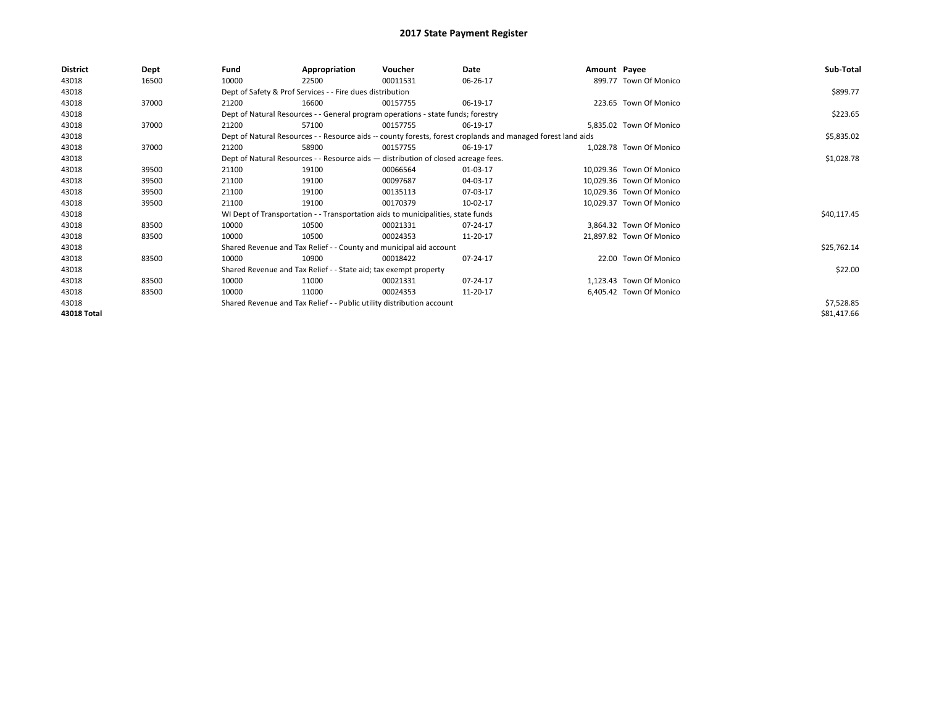| <b>District</b> | Dept  | Fund  | Appropriation                                                                                                | Voucher  | Date     | Amount Payee |                          | Sub-Total   |
|-----------------|-------|-------|--------------------------------------------------------------------------------------------------------------|----------|----------|--------------|--------------------------|-------------|
| 43018           | 16500 | 10000 | 22500                                                                                                        | 00011531 | 06-26-17 |              | 899.77 Town Of Monico    |             |
| 43018           |       |       | Dept of Safety & Prof Services - - Fire dues distribution                                                    |          |          |              |                          | \$899.77    |
| 43018           | 37000 | 21200 | 16600                                                                                                        | 00157755 | 06-19-17 |              | 223.65 Town Of Monico    |             |
| 43018           |       |       | Dept of Natural Resources - - General program operations - state funds; forestry                             |          |          |              |                          | \$223.65    |
| 43018           | 37000 | 21200 | 57100                                                                                                        | 00157755 | 06-19-17 |              | 5,835.02 Town Of Monico  |             |
| 43018           |       |       | Dept of Natural Resources - - Resource aids -- county forests, forest croplands and managed forest land aids |          |          |              |                          | \$5,835.02  |
| 43018           | 37000 | 21200 | 58900                                                                                                        | 00157755 | 06-19-17 |              | 1,028.78 Town Of Monico  |             |
| 43018           |       |       | Dept of Natural Resources - - Resource aids - distribution of closed acreage fees.                           |          |          |              |                          | \$1,028.78  |
| 43018           | 39500 | 21100 | 19100                                                                                                        | 00066564 | 01-03-17 |              | 10,029.36 Town Of Monico |             |
| 43018           | 39500 | 21100 | 19100                                                                                                        | 00097687 | 04-03-17 |              | 10.029.36 Town Of Monico |             |
| 43018           | 39500 | 21100 | 19100                                                                                                        | 00135113 | 07-03-17 |              | 10,029.36 Town Of Monico |             |
| 43018           | 39500 | 21100 | 19100                                                                                                        | 00170379 | 10-02-17 |              | 10,029.37 Town Of Monico |             |
| 43018           |       |       | WI Dept of Transportation - - Transportation aids to municipalities, state funds                             |          |          |              |                          | \$40,117.45 |
| 43018           | 83500 | 10000 | 10500                                                                                                        | 00021331 | 07-24-17 |              | 3,864.32 Town Of Monico  |             |
| 43018           | 83500 | 10000 | 10500                                                                                                        | 00024353 | 11-20-17 |              | 21,897.82 Town Of Monico |             |
| 43018           |       |       | Shared Revenue and Tax Relief - - County and municipal aid account                                           |          |          |              |                          | \$25,762.14 |
| 43018           | 83500 | 10000 | 10900                                                                                                        | 00018422 | 07-24-17 |              | 22.00 Town Of Monico     |             |
| 43018           |       |       | Shared Revenue and Tax Relief - - State aid; tax exempt property                                             |          |          |              |                          | \$22.00     |
| 43018           | 83500 | 10000 | 11000                                                                                                        | 00021331 | 07-24-17 |              | 1,123.43 Town Of Monico  |             |
| 43018           | 83500 | 10000 | 11000                                                                                                        | 00024353 | 11-20-17 |              | 6,405.42 Town Of Monico  |             |
| 43018           |       |       | Shared Revenue and Tax Relief - - Public utility distribution account                                        |          |          |              |                          | \$7,528.85  |
| 43018 Total     |       |       |                                                                                                              |          |          |              |                          | \$81,417.66 |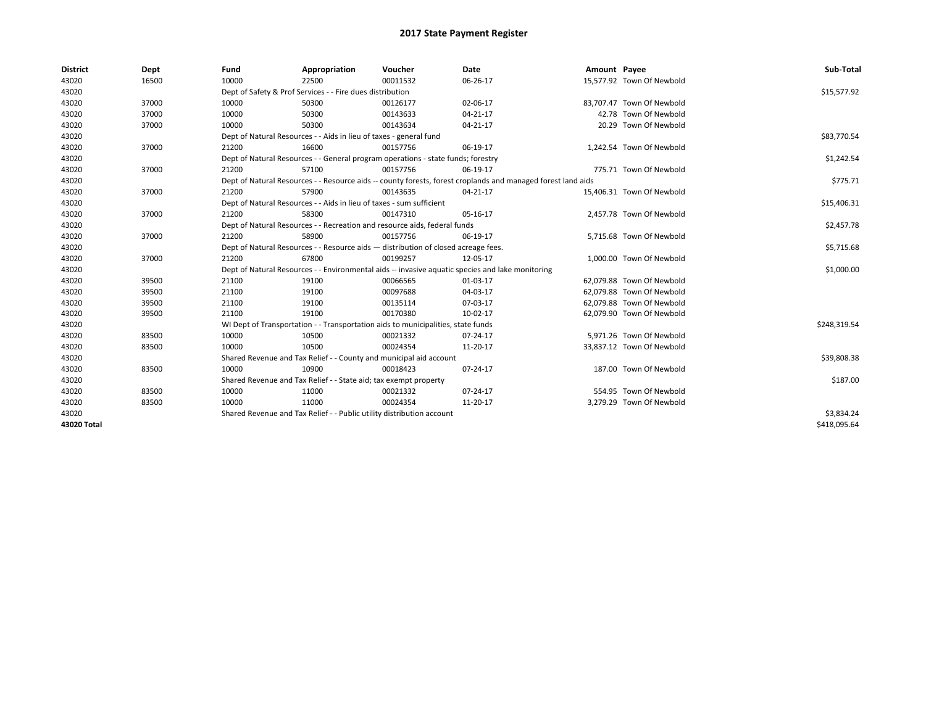| <b>District</b> | Dept  | Fund  | Appropriation                                                                      | Voucher  | Date                                                                                                         | Amount Payee |                           | Sub-Total    |
|-----------------|-------|-------|------------------------------------------------------------------------------------|----------|--------------------------------------------------------------------------------------------------------------|--------------|---------------------------|--------------|
| 43020           | 16500 | 10000 | 22500                                                                              | 00011532 | 06-26-17                                                                                                     |              | 15,577.92 Town Of Newbold |              |
| 43020           |       |       | Dept of Safety & Prof Services - - Fire dues distribution                          |          |                                                                                                              |              |                           | \$15,577.92  |
| 43020           | 37000 | 10000 | 50300                                                                              | 00126177 | 02-06-17                                                                                                     |              | 83,707.47 Town Of Newbold |              |
| 43020           | 37000 | 10000 | 50300                                                                              | 00143633 | $04 - 21 - 17$                                                                                               |              | 42.78 Town Of Newbold     |              |
| 43020           | 37000 | 10000 | 50300                                                                              | 00143634 | $04 - 21 - 17$                                                                                               |              | 20.29 Town Of Newbold     |              |
| 43020           |       |       | Dept of Natural Resources - - Aids in lieu of taxes - general fund                 |          |                                                                                                              |              |                           | \$83,770.54  |
| 43020           | 37000 | 21200 | 16600                                                                              | 00157756 | 06-19-17                                                                                                     |              | 1,242.54 Town Of Newbold  |              |
| 43020           |       |       | Dept of Natural Resources - - General program operations - state funds; forestry   |          |                                                                                                              |              |                           | \$1,242.54   |
| 43020           | 37000 | 21200 | 57100                                                                              | 00157756 | 06-19-17                                                                                                     |              | 775.71 Town Of Newbold    |              |
| 43020           |       |       |                                                                                    |          | Dept of Natural Resources - - Resource aids -- county forests, forest croplands and managed forest land aids |              |                           | \$775.71     |
| 43020           | 37000 | 21200 | 57900                                                                              | 00143635 | 04-21-17                                                                                                     |              | 15,406.31 Town Of Newbold |              |
| 43020           |       |       | Dept of Natural Resources - - Aids in lieu of taxes - sum sufficient               |          |                                                                                                              |              |                           | \$15,406.31  |
| 43020           | 37000 | 21200 | 58300                                                                              | 00147310 | 05-16-17                                                                                                     |              | 2,457.78 Town Of Newbold  |              |
| 43020           |       |       | Dept of Natural Resources - - Recreation and resource aids, federal funds          |          |                                                                                                              |              |                           | \$2,457.78   |
| 43020           | 37000 | 21200 | 58900                                                                              | 00157756 | 06-19-17                                                                                                     |              | 5,715.68 Town Of Newbold  |              |
| 43020           |       |       | Dept of Natural Resources - - Resource aids - distribution of closed acreage fees. |          |                                                                                                              |              |                           | \$5,715.68   |
| 43020           | 37000 | 21200 | 67800                                                                              | 00199257 | 12-05-17                                                                                                     |              | 1,000.00 Town Of Newbold  |              |
| 43020           |       |       |                                                                                    |          | Dept of Natural Resources - - Environmental aids -- invasive aguatic species and lake monitoring             |              |                           | \$1,000.00   |
| 43020           | 39500 | 21100 | 19100                                                                              | 00066565 | 01-03-17                                                                                                     |              | 62,079.88 Town Of Newbold |              |
| 43020           | 39500 | 21100 | 19100                                                                              | 00097688 | 04-03-17                                                                                                     |              | 62.079.88 Town Of Newbold |              |
| 43020           | 39500 | 21100 | 19100                                                                              | 00135114 | 07-03-17                                                                                                     |              | 62,079.88 Town Of Newbold |              |
| 43020           | 39500 | 21100 | 19100                                                                              | 00170380 | 10-02-17                                                                                                     |              | 62,079.90 Town Of Newbold |              |
| 43020           |       |       | WI Dept of Transportation - - Transportation aids to municipalities, state funds   |          |                                                                                                              |              |                           | \$248,319.54 |
| 43020           | 83500 | 10000 | 10500                                                                              | 00021332 | 07-24-17                                                                                                     |              | 5,971.26 Town Of Newbold  |              |
| 43020           | 83500 | 10000 | 10500                                                                              | 00024354 | 11-20-17                                                                                                     |              | 33,837.12 Town Of Newbold |              |
| 43020           |       |       | Shared Revenue and Tax Relief - - County and municipal aid account                 |          |                                                                                                              |              |                           | \$39,808.38  |
| 43020           | 83500 | 10000 | 10900                                                                              | 00018423 | 07-24-17                                                                                                     |              | 187.00 Town Of Newbold    |              |
| 43020           |       |       | Shared Revenue and Tax Relief - - State aid; tax exempt property                   |          |                                                                                                              |              |                           | \$187.00     |
| 43020           | 83500 | 10000 | 11000                                                                              | 00021332 | 07-24-17                                                                                                     |              | 554.95 Town Of Newbold    |              |
| 43020           | 83500 | 10000 | 11000                                                                              | 00024354 | 11-20-17                                                                                                     |              | 3,279.29 Town Of Newbold  |              |
| 43020           |       |       | Shared Revenue and Tax Relief - - Public utility distribution account              |          |                                                                                                              |              |                           | \$3,834.24   |
| 43020 Total     |       |       |                                                                                    |          |                                                                                                              |              |                           | \$418,095.64 |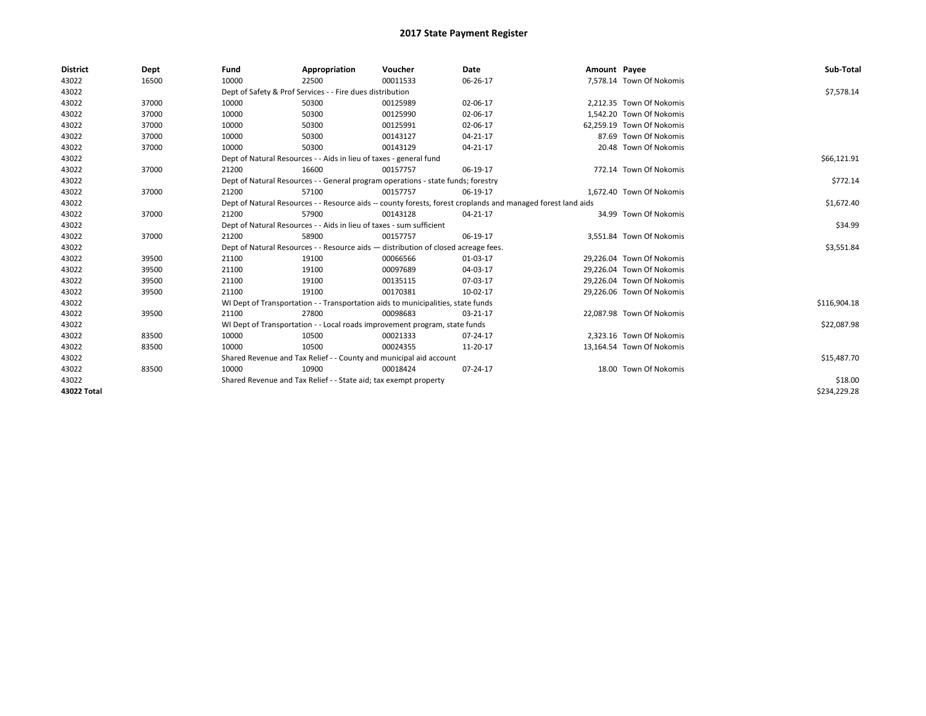| <b>District</b> | Dept  | Fund  | Appropriation                                                                      | Voucher  | Date                                                                                                         | Amount Payee |                           | Sub-Total    |
|-----------------|-------|-------|------------------------------------------------------------------------------------|----------|--------------------------------------------------------------------------------------------------------------|--------------|---------------------------|--------------|
| 43022           | 16500 | 10000 | 22500                                                                              | 00011533 | 06-26-17                                                                                                     |              | 7,578.14 Town Of Nokomis  |              |
| 43022           |       |       | Dept of Safety & Prof Services - - Fire dues distribution                          |          |                                                                                                              |              |                           | \$7,578.14   |
| 43022           | 37000 | 10000 | 50300                                                                              | 00125989 | 02-06-17                                                                                                     |              | 2,212.35 Town Of Nokomis  |              |
| 43022           | 37000 | 10000 | 50300                                                                              | 00125990 | 02-06-17                                                                                                     |              | 1.542.20 Town Of Nokomis  |              |
| 43022           | 37000 | 10000 | 50300                                                                              | 00125991 | 02-06-17                                                                                                     |              | 62,259.19 Town Of Nokomis |              |
| 43022           | 37000 | 10000 | 50300                                                                              | 00143127 | $04 - 21 - 17$                                                                                               |              | 87.69 Town Of Nokomis     |              |
| 43022           | 37000 | 10000 | 50300                                                                              | 00143129 | $04 - 21 - 17$                                                                                               |              | 20.48 Town Of Nokomis     |              |
| 43022           |       |       | Dept of Natural Resources - - Aids in lieu of taxes - general fund                 |          |                                                                                                              |              |                           | \$66,121.91  |
| 43022           | 37000 | 21200 | 16600                                                                              | 00157757 | 06-19-17                                                                                                     |              | 772.14 Town Of Nokomis    |              |
| 43022           |       |       | Dept of Natural Resources - - General program operations - state funds; forestry   |          |                                                                                                              |              |                           | \$772.14     |
| 43022           | 37000 | 21200 | 57100                                                                              | 00157757 | 06-19-17                                                                                                     |              | 1,672.40 Town Of Nokomis  |              |
| 43022           |       |       |                                                                                    |          | Dept of Natural Resources - - Resource aids -- county forests, forest croplands and managed forest land aids |              |                           | \$1,672.40   |
| 43022           | 37000 | 21200 | 57900                                                                              | 00143128 | $04 - 21 - 17$                                                                                               |              | 34.99 Town Of Nokomis     |              |
| 43022           |       |       | Dept of Natural Resources - - Aids in lieu of taxes - sum sufficient               |          |                                                                                                              |              |                           | \$34.99      |
| 43022           | 37000 | 21200 | 58900                                                                              | 00157757 | 06-19-17                                                                                                     |              | 3,551.84 Town Of Nokomis  |              |
| 43022           |       |       | Dept of Natural Resources - - Resource aids - distribution of closed acreage fees. |          |                                                                                                              |              |                           | \$3,551.84   |
| 43022           | 39500 | 21100 | 19100                                                                              | 00066566 | 01-03-17                                                                                                     |              | 29.226.04 Town Of Nokomis |              |
| 43022           | 39500 | 21100 | 19100                                                                              | 00097689 | 04-03-17                                                                                                     |              | 29,226.04 Town Of Nokomis |              |
| 43022           | 39500 | 21100 | 19100                                                                              | 00135115 | 07-03-17                                                                                                     |              | 29.226.04 Town Of Nokomis |              |
| 43022           | 39500 | 21100 | 19100                                                                              | 00170381 | 10-02-17                                                                                                     |              | 29,226.06 Town Of Nokomis |              |
| 43022           |       |       | WI Dept of Transportation - - Transportation aids to municipalities, state funds   |          |                                                                                                              |              |                           | \$116,904.18 |
| 43022           | 39500 | 21100 | 27800                                                                              | 00098683 | 03-21-17                                                                                                     |              | 22,087.98 Town Of Nokomis |              |
| 43022           |       |       | WI Dept of Transportation - - Local roads improvement program, state funds         |          |                                                                                                              |              |                           | \$22,087.98  |
| 43022           | 83500 | 10000 | 10500                                                                              | 00021333 | 07-24-17                                                                                                     |              | 2,323.16 Town Of Nokomis  |              |
| 43022           | 83500 | 10000 | 10500                                                                              | 00024355 | 11-20-17                                                                                                     |              | 13,164.54 Town Of Nokomis |              |
| 43022           |       |       | Shared Revenue and Tax Relief - - County and municipal aid account                 |          |                                                                                                              |              |                           | \$15,487.70  |
| 43022           | 83500 | 10000 | 10900                                                                              | 00018424 | 07-24-17                                                                                                     |              | 18.00 Town Of Nokomis     |              |
| 43022           |       |       | Shared Revenue and Tax Relief - - State aid; tax exempt property                   |          |                                                                                                              |              |                           | \$18.00      |
| 43022 Total     |       |       |                                                                                    |          |                                                                                                              |              |                           | \$234,229.28 |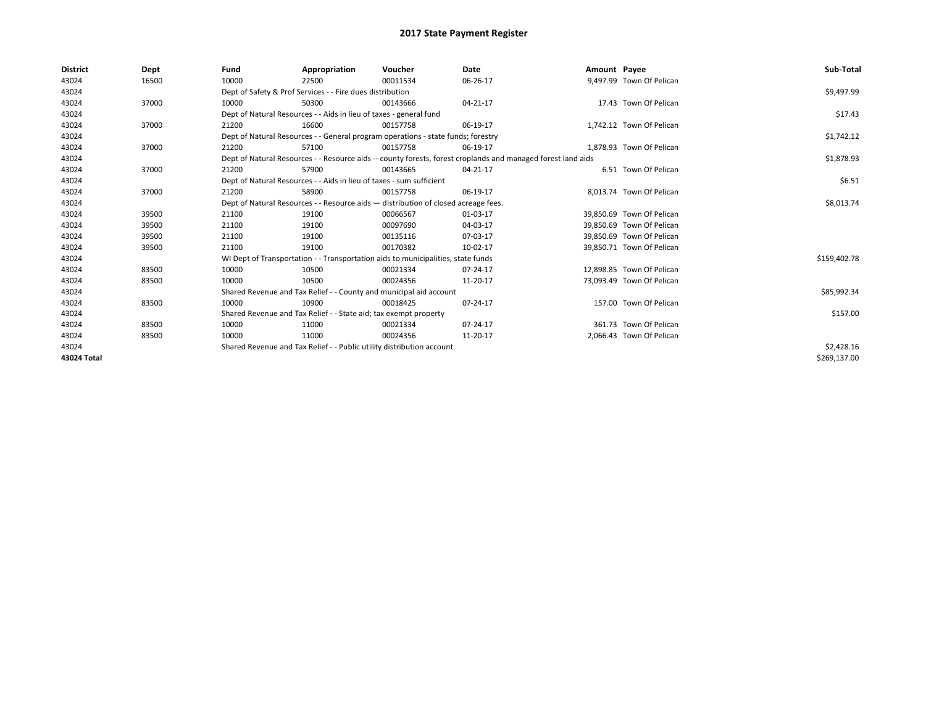| <b>District</b> | Dept  | Fund  | Appropriation                                                                                                | Voucher  | Date       | Amount Payee |                           | Sub-Total    |
|-----------------|-------|-------|--------------------------------------------------------------------------------------------------------------|----------|------------|--------------|---------------------------|--------------|
| 43024           | 16500 | 10000 | 22500                                                                                                        | 00011534 | 06-26-17   |              | 9,497.99 Town Of Pelican  |              |
| 43024           |       |       | Dept of Safety & Prof Services - - Fire dues distribution                                                    |          |            |              |                           | \$9,497.99   |
| 43024           | 37000 | 10000 | 50300                                                                                                        | 00143666 | 04-21-17   |              | 17.43 Town Of Pelican     |              |
| 43024           |       |       | Dept of Natural Resources - - Aids in lieu of taxes - general fund                                           |          |            |              |                           | \$17.43      |
| 43024           | 37000 | 21200 | 16600                                                                                                        | 00157758 | 06-19-17   |              | 1,742.12 Town Of Pelican  |              |
| 43024           |       |       | Dept of Natural Resources - - General program operations - state funds; forestry                             |          | \$1,742.12 |              |                           |              |
| 43024           | 37000 | 21200 | 57100                                                                                                        | 00157758 | 06-19-17   |              | 1,878.93 Town Of Pelican  |              |
| 43024           |       |       | Dept of Natural Resources - - Resource aids -- county forests, forest croplands and managed forest land aids |          | \$1,878.93 |              |                           |              |
| 43024           | 37000 | 21200 | 57900                                                                                                        | 00143665 | 04-21-17   |              | 6.51 Town Of Pelican      |              |
| 43024           |       |       | Dept of Natural Resources - - Aids in lieu of taxes - sum sufficient                                         |          |            |              |                           | \$6.51       |
| 43024           | 37000 | 21200 | 58900                                                                                                        | 00157758 | 06-19-17   |              | 8.013.74 Town Of Pelican  |              |
| 43024           |       |       | Dept of Natural Resources - - Resource aids - distribution of closed acreage fees.                           |          | \$8,013.74 |              |                           |              |
| 43024           | 39500 | 21100 | 19100                                                                                                        | 00066567 | 01-03-17   |              | 39.850.69 Town Of Pelican |              |
| 43024           | 39500 | 21100 | 19100                                                                                                        | 00097690 | 04-03-17   |              | 39.850.69 Town Of Pelican |              |
| 43024           | 39500 | 21100 | 19100                                                                                                        | 00135116 | 07-03-17   |              | 39,850.69 Town Of Pelican |              |
| 43024           | 39500 | 21100 | 19100                                                                                                        | 00170382 | 10-02-17   |              | 39,850.71 Town Of Pelican |              |
| 43024           |       |       | WI Dept of Transportation - - Transportation aids to municipalities, state funds                             |          |            |              |                           | \$159,402.78 |
| 43024           | 83500 | 10000 | 10500                                                                                                        | 00021334 | 07-24-17   |              | 12.898.85 Town Of Pelican |              |
| 43024           | 83500 | 10000 | 10500                                                                                                        | 00024356 | 11-20-17   |              | 73,093.49 Town Of Pelican |              |
| 43024           |       |       | Shared Revenue and Tax Relief - - County and municipal aid account                                           |          |            |              |                           | \$85,992.34  |
| 43024           | 83500 | 10000 | 10900                                                                                                        | 00018425 | 07-24-17   |              | 157.00 Town Of Pelican    |              |
| 43024           |       |       | Shared Revenue and Tax Relief - - State aid; tax exempt property                                             |          |            |              |                           | \$157.00     |
| 43024           | 83500 | 10000 | 11000                                                                                                        | 00021334 | 07-24-17   |              | 361.73 Town Of Pelican    |              |
| 43024           | 83500 | 10000 | 11000                                                                                                        | 00024356 | 11-20-17   |              | 2,066.43 Town Of Pelican  |              |
| 43024           |       |       | Shared Revenue and Tax Relief - - Public utility distribution account                                        |          |            |              |                           | \$2,428.16   |
| 43024 Total     |       |       |                                                                                                              |          |            |              |                           | \$269,137.00 |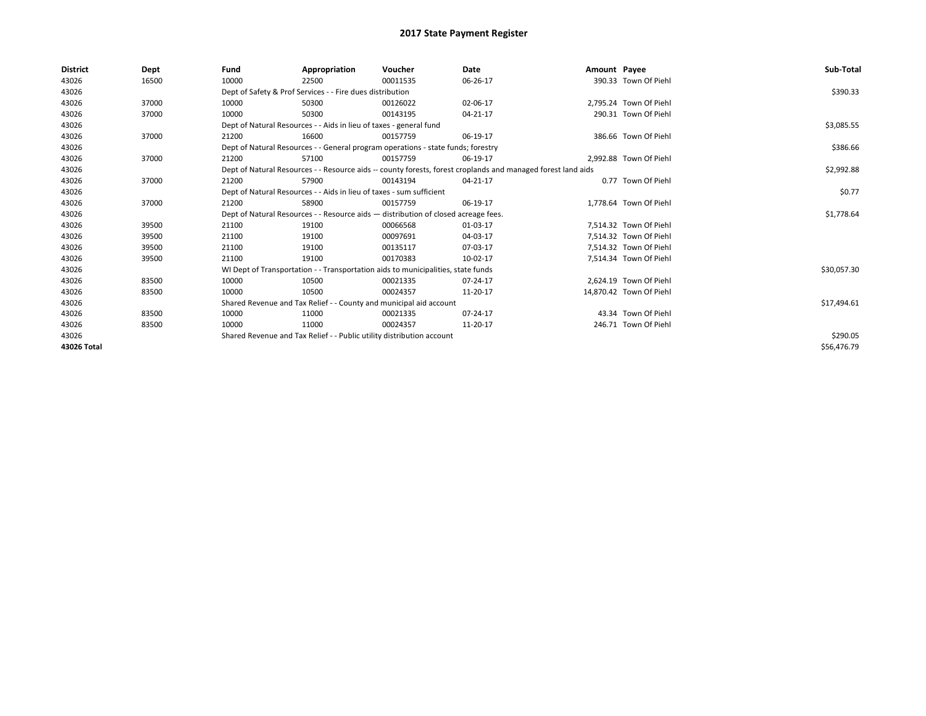| <b>District</b> | Dept  | Fund  | Appropriation                                                                      | Voucher  | Date                                                                                                         | Amount Payee |                         | Sub-Total   |
|-----------------|-------|-------|------------------------------------------------------------------------------------|----------|--------------------------------------------------------------------------------------------------------------|--------------|-------------------------|-------------|
| 43026           | 16500 | 10000 | 22500                                                                              | 00011535 | 06-26-17                                                                                                     |              | 390.33 Town Of Piehl    |             |
| 43026           |       |       | Dept of Safety & Prof Services - - Fire dues distribution                          |          |                                                                                                              |              |                         | \$390.33    |
| 43026           | 37000 | 10000 | 50300                                                                              | 00126022 | 02-06-17                                                                                                     |              | 2,795.24 Town Of Piehl  |             |
| 43026           | 37000 | 10000 | 50300                                                                              | 00143195 | 04-21-17                                                                                                     |              | 290.31 Town Of Piehl    |             |
| 43026           |       |       | Dept of Natural Resources - - Aids in lieu of taxes - general fund                 |          |                                                                                                              |              |                         | \$3,085.55  |
| 43026           | 37000 | 21200 | 16600                                                                              | 00157759 | 06-19-17                                                                                                     |              | 386.66 Town Of Piehl    |             |
| 43026           |       |       | Dept of Natural Resources - - General program operations - state funds; forestry   |          |                                                                                                              |              |                         | \$386.66    |
| 43026           | 37000 | 21200 | 57100                                                                              | 00157759 | 06-19-17                                                                                                     |              | 2,992.88 Town Of Piehl  |             |
| 43026           |       |       |                                                                                    |          | Dept of Natural Resources - - Resource aids -- county forests, forest croplands and managed forest land aids |              |                         | \$2,992.88  |
| 43026           | 37000 | 21200 | 57900                                                                              | 00143194 | 04-21-17                                                                                                     |              | 0.77 Town Of Piehl      |             |
| 43026           |       |       | Dept of Natural Resources - - Aids in lieu of taxes - sum sufficient               |          |                                                                                                              |              |                         | \$0.77      |
| 43026           | 37000 | 21200 | 58900                                                                              | 00157759 | 06-19-17                                                                                                     |              | 1.778.64 Town Of Piehl  |             |
| 43026           |       |       | Dept of Natural Resources - - Resource aids - distribution of closed acreage fees. |          |                                                                                                              |              |                         | \$1,778.64  |
| 43026           | 39500 | 21100 | 19100                                                                              | 00066568 | 01-03-17                                                                                                     |              | 7,514.32 Town Of Piehl  |             |
| 43026           | 39500 | 21100 | 19100                                                                              | 00097691 | 04-03-17                                                                                                     |              | 7,514.32 Town Of Piehl  |             |
| 43026           | 39500 | 21100 | 19100                                                                              | 00135117 | 07-03-17                                                                                                     |              | 7.514.32 Town Of Piehl  |             |
| 43026           | 39500 | 21100 | 19100                                                                              | 00170383 | 10-02-17                                                                                                     |              | 7,514.34 Town Of Piehl  |             |
| 43026           |       |       | WI Dept of Transportation - - Transportation aids to municipalities, state funds   |          |                                                                                                              |              |                         | \$30,057.30 |
| 43026           | 83500 | 10000 | 10500                                                                              | 00021335 | 07-24-17                                                                                                     |              | 2.624.19 Town Of Piehl  |             |
| 43026           | 83500 | 10000 | 10500                                                                              | 00024357 | 11-20-17                                                                                                     |              | 14,870.42 Town Of Piehl |             |
| 43026           |       |       | Shared Revenue and Tax Relief - - County and municipal aid account                 |          |                                                                                                              |              |                         | \$17,494.61 |
| 43026           | 83500 | 10000 | 11000                                                                              | 00021335 | 07-24-17                                                                                                     |              | 43.34 Town Of Piehl     |             |
| 43026           | 83500 | 10000 | 11000                                                                              | 00024357 | 11-20-17                                                                                                     |              | 246.71 Town Of Piehl    |             |
| 43026           |       |       | Shared Revenue and Tax Relief - - Public utility distribution account              |          | \$290.05                                                                                                     |              |                         |             |
| 43026 Total     |       |       |                                                                                    |          |                                                                                                              |              |                         | \$56,476.79 |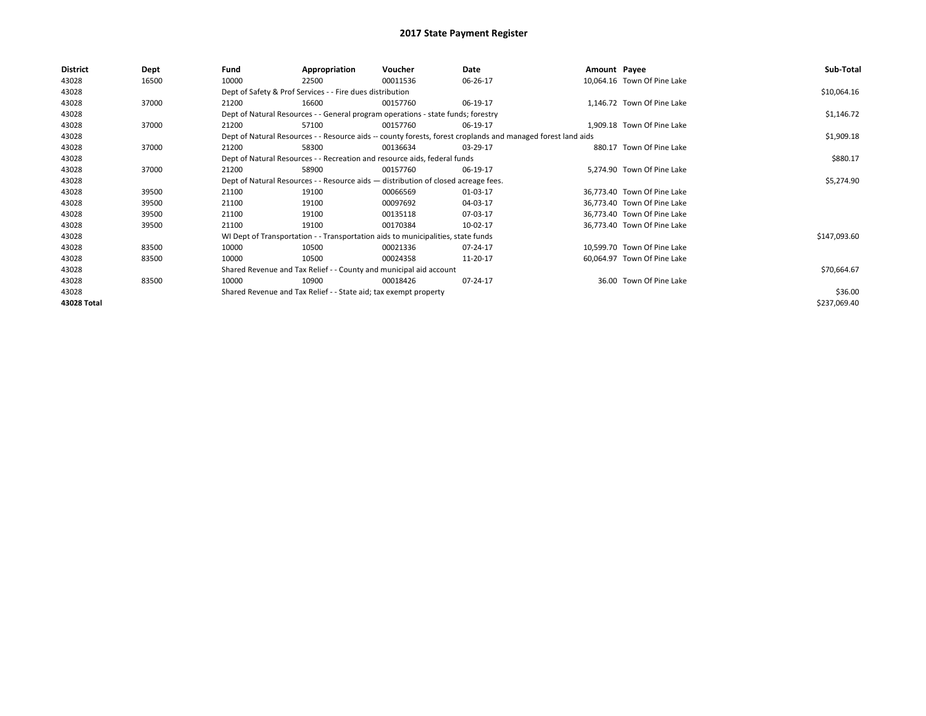| <b>District</b> | Dept  | Fund                                                                                                         | Appropriation                                                                      | Voucher    | Date     | Amount Payee |                             | Sub-Total    |
|-----------------|-------|--------------------------------------------------------------------------------------------------------------|------------------------------------------------------------------------------------|------------|----------|--------------|-----------------------------|--------------|
| 43028           | 16500 | 10000                                                                                                        | 22500                                                                              | 00011536   | 06-26-17 |              | 10,064.16 Town Of Pine Lake |              |
| 43028           |       |                                                                                                              | Dept of Safety & Prof Services - - Fire dues distribution                          |            |          |              |                             | \$10,064.16  |
| 43028           | 37000 | 21200                                                                                                        | 16600                                                                              | 00157760   | 06-19-17 |              | 1,146.72 Town Of Pine Lake  |              |
| 43028           |       |                                                                                                              | Dept of Natural Resources - - General program operations - state funds; forestry   |            |          |              |                             | \$1,146.72   |
| 43028           | 37000 | 21200                                                                                                        | 57100                                                                              | 00157760   | 06-19-17 |              | 1,909.18 Town Of Pine Lake  |              |
| 43028           |       | Dept of Natural Resources - - Resource aids -- county forests, forest croplands and managed forest land aids |                                                                                    | \$1,909.18 |          |              |                             |              |
| 43028           | 37000 | 21200                                                                                                        | 58300                                                                              | 00136634   | 03-29-17 |              | 880.17 Town Of Pine Lake    |              |
| 43028           |       |                                                                                                              | Dept of Natural Resources - - Recreation and resource aids, federal funds          |            |          |              |                             | \$880.17     |
| 43028           | 37000 | 21200                                                                                                        | 58900                                                                              | 00157760   | 06-19-17 |              | 5,274.90 Town Of Pine Lake  |              |
| 43028           |       |                                                                                                              | Dept of Natural Resources - - Resource aids - distribution of closed acreage fees. |            |          |              |                             | \$5,274.90   |
| 43028           | 39500 | 21100                                                                                                        | 19100                                                                              | 00066569   | 01-03-17 |              | 36,773.40 Town Of Pine Lake |              |
| 43028           | 39500 | 21100                                                                                                        | 19100                                                                              | 00097692   | 04-03-17 |              | 36,773.40 Town Of Pine Lake |              |
| 43028           | 39500 | 21100                                                                                                        | 19100                                                                              | 00135118   | 07-03-17 |              | 36,773.40 Town Of Pine Lake |              |
| 43028           | 39500 | 21100                                                                                                        | 19100                                                                              | 00170384   | 10-02-17 |              | 36,773.40 Town Of Pine Lake |              |
| 43028           |       |                                                                                                              | WI Dept of Transportation - - Transportation aids to municipalities, state funds   |            |          |              |                             | \$147,093.60 |
| 43028           | 83500 | 10000                                                                                                        | 10500                                                                              | 00021336   | 07-24-17 |              | 10,599.70 Town Of Pine Lake |              |
| 43028           | 83500 | 10000                                                                                                        | 10500                                                                              | 00024358   | 11-20-17 |              | 60,064.97 Town Of Pine Lake |              |
| 43028           |       |                                                                                                              | Shared Revenue and Tax Relief - - County and municipal aid account                 |            |          |              |                             | \$70,664.67  |
| 43028           | 83500 | 10000                                                                                                        | 10900                                                                              | 00018426   | 07-24-17 |              | 36.00 Town Of Pine Lake     |              |
| 43028           |       |                                                                                                              | Shared Revenue and Tax Relief - - State aid; tax exempt property                   |            |          |              |                             | \$36.00      |
| 43028 Total     |       |                                                                                                              |                                                                                    |            |          |              |                             | \$237,069.40 |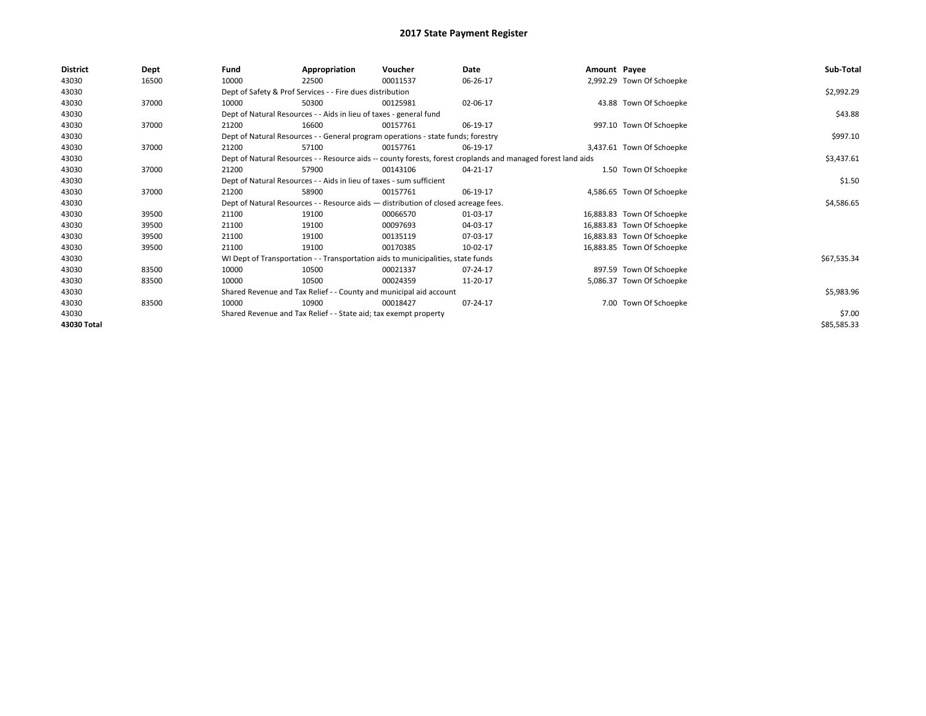| <b>District</b> | Dept  | Fund  | Appropriation                                                                      | Voucher  | Date                                                                                                         | Amount Payee |                            | Sub-Total   |
|-----------------|-------|-------|------------------------------------------------------------------------------------|----------|--------------------------------------------------------------------------------------------------------------|--------------|----------------------------|-------------|
| 43030           | 16500 | 10000 | 22500                                                                              | 00011537 | 06-26-17                                                                                                     |              | 2,992.29 Town Of Schoepke  |             |
| 43030           |       |       | Dept of Safety & Prof Services - - Fire dues distribution                          |          |                                                                                                              |              |                            | \$2,992.29  |
| 43030           | 37000 | 10000 | 50300                                                                              | 00125981 | 02-06-17                                                                                                     |              | 43.88 Town Of Schoepke     |             |
| 43030           |       |       | Dept of Natural Resources - - Aids in lieu of taxes - general fund                 |          |                                                                                                              |              |                            | \$43.88     |
| 43030           | 37000 | 21200 | 16600                                                                              | 00157761 | 06-19-17                                                                                                     |              | 997.10 Town Of Schoepke    |             |
| 43030           |       |       | Dept of Natural Resources - - General program operations - state funds; forestry   |          | \$997.10                                                                                                     |              |                            |             |
| 43030           | 37000 | 21200 | 57100                                                                              | 00157761 | 06-19-17                                                                                                     |              | 3,437.61 Town Of Schoepke  |             |
| 43030           |       |       |                                                                                    |          | Dept of Natural Resources - - Resource aids -- county forests, forest croplands and managed forest land aids |              |                            | \$3,437.61  |
| 43030           | 37000 | 21200 | 57900                                                                              | 00143106 | 04-21-17                                                                                                     |              | 1.50 Town Of Schoepke      |             |
| 43030           |       |       | Dept of Natural Resources - - Aids in lieu of taxes - sum sufficient               |          |                                                                                                              |              |                            | \$1.50      |
| 43030           | 37000 | 21200 | 58900                                                                              | 00157761 | 06-19-17                                                                                                     |              | 4,586.65 Town Of Schoepke  |             |
| 43030           |       |       | Dept of Natural Resources - - Resource aids - distribution of closed acreage fees. |          |                                                                                                              |              |                            | \$4,586.65  |
| 43030           | 39500 | 21100 | 19100                                                                              | 00066570 | 01-03-17                                                                                                     |              | 16,883.83 Town Of Schoepke |             |
| 43030           | 39500 | 21100 | 19100                                                                              | 00097693 | 04-03-17                                                                                                     |              | 16,883.83 Town Of Schoepke |             |
| 43030           | 39500 | 21100 | 19100                                                                              | 00135119 | 07-03-17                                                                                                     |              | 16,883.83 Town Of Schoepke |             |
| 43030           | 39500 | 21100 | 19100                                                                              | 00170385 | 10-02-17                                                                                                     |              | 16,883.85 Town Of Schoepke |             |
| 43030           |       |       | WI Dept of Transportation - - Transportation aids to municipalities, state funds   |          |                                                                                                              |              |                            | \$67,535.34 |
| 43030           | 83500 | 10000 | 10500                                                                              | 00021337 | 07-24-17                                                                                                     |              | 897.59 Town Of Schoepke    |             |
| 43030           | 83500 | 10000 | 10500                                                                              | 00024359 | 11-20-17                                                                                                     |              | 5,086.37 Town Of Schoepke  |             |
| 43030           |       |       | Shared Revenue and Tax Relief - - County and municipal aid account                 |          |                                                                                                              |              |                            | \$5,983.96  |
| 43030           | 83500 | 10000 | 10900                                                                              | 00018427 | 07-24-17                                                                                                     |              | 7.00 Town Of Schoepke      |             |
| 43030           |       |       | Shared Revenue and Tax Relief - - State aid; tax exempt property                   |          |                                                                                                              |              |                            | \$7.00      |
| 43030 Total     |       |       |                                                                                    |          |                                                                                                              |              |                            | \$85,585.33 |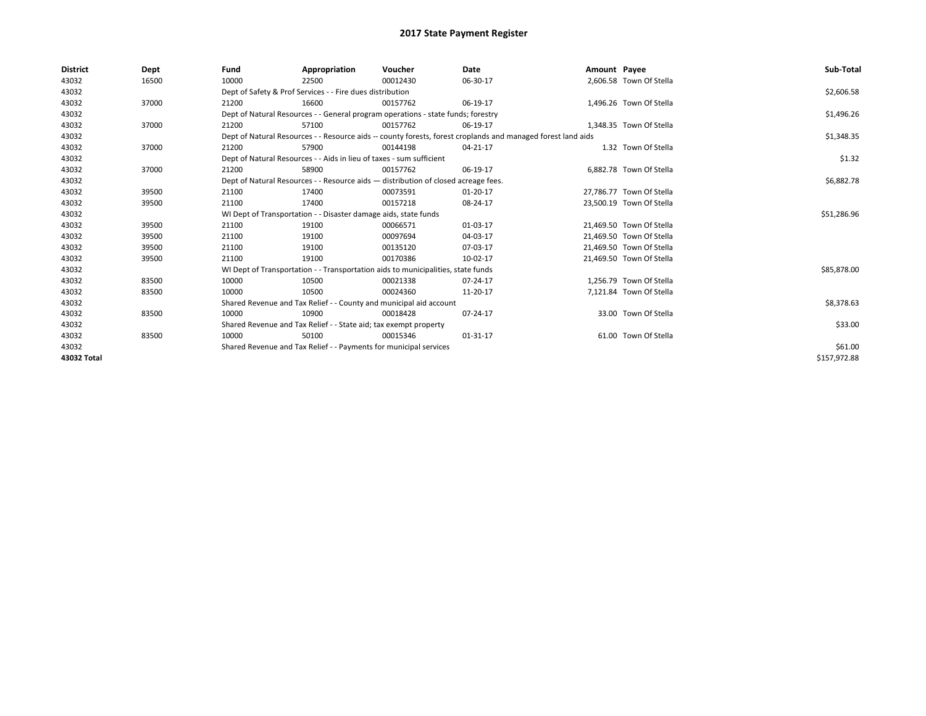| <b>District</b> | Dept  | Fund                                                             | Appropriation                                                                      | Voucher  | Date                                                                                                         | Amount Payee |                          | Sub-Total    |
|-----------------|-------|------------------------------------------------------------------|------------------------------------------------------------------------------------|----------|--------------------------------------------------------------------------------------------------------------|--------------|--------------------------|--------------|
| 43032           | 16500 | 10000                                                            | 22500                                                                              | 00012430 | 06-30-17                                                                                                     |              | 2,606.58 Town Of Stella  |              |
| 43032           |       |                                                                  | Dept of Safety & Prof Services - - Fire dues distribution                          |          |                                                                                                              |              |                          | \$2,606.58   |
| 43032           | 37000 | 21200                                                            | 16600                                                                              | 00157762 | 06-19-17                                                                                                     |              | 1.496.26 Town Of Stella  |              |
| 43032           |       |                                                                  | Dept of Natural Resources - - General program operations - state funds; forestry   |          |                                                                                                              |              |                          | \$1,496.26   |
| 43032           | 37000 | 21200                                                            | 57100                                                                              | 00157762 | 06-19-17                                                                                                     |              | 1,348.35 Town Of Stella  |              |
| 43032           |       |                                                                  |                                                                                    |          | Dept of Natural Resources - - Resource aids -- county forests, forest croplands and managed forest land aids |              |                          | \$1,348.35   |
| 43032           | 37000 | 21200                                                            | 57900                                                                              | 00144198 | 04-21-17                                                                                                     |              | 1.32 Town Of Stella      |              |
| 43032           |       |                                                                  | Dept of Natural Resources - - Aids in lieu of taxes - sum sufficient               |          | \$1.32                                                                                                       |              |                          |              |
| 43032           | 37000 | 21200                                                            | 58900                                                                              | 00157762 | 06-19-17                                                                                                     |              | 6.882.78 Town Of Stella  |              |
| 43032           |       |                                                                  | Dept of Natural Resources - - Resource aids - distribution of closed acreage fees. |          |                                                                                                              |              |                          | \$6,882.78   |
| 43032           | 39500 | 21100                                                            | 17400                                                                              | 00073591 | $01-20-17$                                                                                                   |              | 27,786.77 Town Of Stella |              |
| 43032           | 39500 | 21100                                                            | 17400                                                                              | 00157218 | 08-24-17                                                                                                     |              | 23,500.19 Town Of Stella |              |
| 43032           |       |                                                                  | WI Dept of Transportation - - Disaster damage aids, state funds                    |          |                                                                                                              |              |                          | \$51,286.96  |
| 43032           | 39500 | 21100                                                            | 19100                                                                              | 00066571 | 01-03-17                                                                                                     |              | 21,469.50 Town Of Stella |              |
| 43032           | 39500 | 21100                                                            | 19100                                                                              | 00097694 | 04-03-17                                                                                                     |              | 21,469.50 Town Of Stella |              |
| 43032           | 39500 | 21100                                                            | 19100                                                                              | 00135120 | 07-03-17                                                                                                     |              | 21,469.50 Town Of Stella |              |
| 43032           | 39500 | 21100                                                            | 19100                                                                              | 00170386 | 10-02-17                                                                                                     |              | 21,469.50 Town Of Stella |              |
| 43032           |       |                                                                  | WI Dept of Transportation - - Transportation aids to municipalities, state funds   |          |                                                                                                              |              |                          | \$85,878.00  |
| 43032           | 83500 | 10000                                                            | 10500                                                                              | 00021338 | 07-24-17                                                                                                     |              | 1,256.79 Town Of Stella  |              |
| 43032           | 83500 | 10000                                                            | 10500                                                                              | 00024360 | 11-20-17                                                                                                     |              | 7,121.84 Town Of Stella  |              |
| 43032           |       |                                                                  | Shared Revenue and Tax Relief - - County and municipal aid account                 |          |                                                                                                              |              |                          | \$8,378.63   |
| 43032           | 83500 | 10000                                                            | 10900                                                                              | 00018428 | 07-24-17                                                                                                     |              | 33.00 Town Of Stella     |              |
| 43032           |       | Shared Revenue and Tax Relief - - State aid; tax exempt property |                                                                                    | \$33.00  |                                                                                                              |              |                          |              |
| 43032           | 83500 | 10000                                                            | 50100                                                                              | 00015346 | $01 - 31 - 17$                                                                                               |              | 61.00 Town Of Stella     |              |
| 43032           |       |                                                                  | Shared Revenue and Tax Relief - - Payments for municipal services                  |          |                                                                                                              |              |                          | \$61.00      |
| 43032 Total     |       |                                                                  |                                                                                    |          |                                                                                                              |              |                          | \$157,972.88 |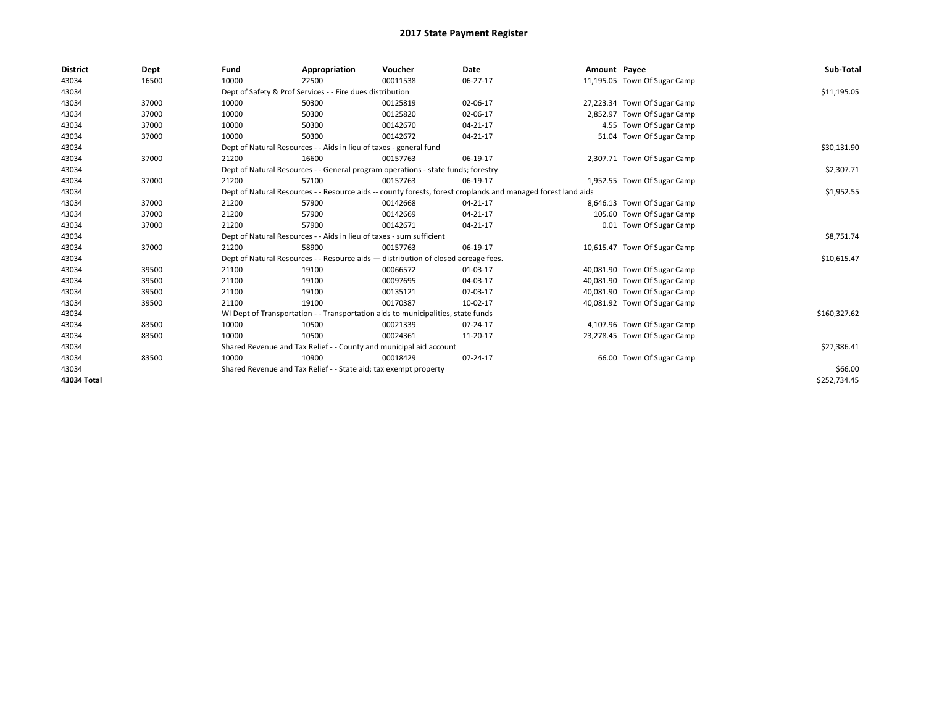| <b>District</b> | Dept  | Fund  | Appropriation                                                                                                | Voucher  | Date           | Amount Payee |                              | Sub-Total    |
|-----------------|-------|-------|--------------------------------------------------------------------------------------------------------------|----------|----------------|--------------|------------------------------|--------------|
| 43034           | 16500 | 10000 | 22500                                                                                                        | 00011538 | 06-27-17       |              | 11,195.05 Town Of Sugar Camp |              |
| 43034           |       |       | Dept of Safety & Prof Services - - Fire dues distribution                                                    |          |                |              |                              | \$11,195.05  |
| 43034           | 37000 | 10000 | 50300                                                                                                        | 00125819 | 02-06-17       |              | 27,223.34 Town Of Sugar Camp |              |
| 43034           | 37000 | 10000 | 50300                                                                                                        | 00125820 | 02-06-17       |              | 2,852.97 Town Of Sugar Camp  |              |
| 43034           | 37000 | 10000 | 50300                                                                                                        | 00142670 | $04 - 21 - 17$ |              | 4.55 Town Of Sugar Camp      |              |
| 43034           | 37000 | 10000 | 50300                                                                                                        | 00142672 | 04-21-17       |              | 51.04 Town Of Sugar Camp     |              |
| 43034           |       |       | Dept of Natural Resources - - Aids in lieu of taxes - general fund                                           |          |                |              |                              | \$30,131.90  |
| 43034           | 37000 | 21200 | 16600                                                                                                        | 00157763 | 06-19-17       |              | 2,307.71 Town Of Sugar Camp  |              |
| 43034           |       |       | Dept of Natural Resources - - General program operations - state funds; forestry                             |          |                |              |                              | \$2,307.71   |
| 43034           | 37000 | 21200 | 57100                                                                                                        | 00157763 | 06-19-17       |              | 1,952.55 Town Of Sugar Camp  |              |
| 43034           |       |       | Dept of Natural Resources - - Resource aids -- county forests, forest croplands and managed forest land aids |          |                |              |                              | \$1,952.55   |
| 43034           | 37000 | 21200 | 57900                                                                                                        | 00142668 | 04-21-17       |              | 8,646.13 Town Of Sugar Camp  |              |
| 43034           | 37000 | 21200 | 57900                                                                                                        | 00142669 | 04-21-17       |              | 105.60 Town Of Sugar Camp    |              |
| 43034           | 37000 | 21200 | 57900                                                                                                        | 00142671 | 04-21-17       |              | 0.01 Town Of Sugar Camp      |              |
| 43034           |       |       | Dept of Natural Resources - - Aids in lieu of taxes - sum sufficient                                         |          |                |              |                              | \$8,751.74   |
| 43034           | 37000 | 21200 | 58900                                                                                                        | 00157763 | 06-19-17       |              | 10,615.47 Town Of Sugar Camp |              |
| 43034           |       |       | Dept of Natural Resources - - Resource aids - distribution of closed acreage fees.                           |          |                |              |                              | \$10,615.47  |
| 43034           | 39500 | 21100 | 19100                                                                                                        | 00066572 | 01-03-17       |              | 40,081.90 Town Of Sugar Camp |              |
| 43034           | 39500 | 21100 | 19100                                                                                                        | 00097695 | 04-03-17       |              | 40,081.90 Town Of Sugar Camp |              |
| 43034           | 39500 | 21100 | 19100                                                                                                        | 00135121 | 07-03-17       |              | 40,081.90 Town Of Sugar Camp |              |
| 43034           | 39500 | 21100 | 19100                                                                                                        | 00170387 | 10-02-17       |              | 40,081.92 Town Of Sugar Camp |              |
| 43034           |       |       | WI Dept of Transportation - - Transportation aids to municipalities, state funds                             |          |                |              |                              | \$160,327.62 |
| 43034           | 83500 | 10000 | 10500                                                                                                        | 00021339 | 07-24-17       |              | 4,107.96 Town Of Sugar Camp  |              |
| 43034           | 83500 | 10000 | 10500                                                                                                        | 00024361 | 11-20-17       |              | 23,278.45 Town Of Sugar Camp |              |
| 43034           |       |       | Shared Revenue and Tax Relief - - County and municipal aid account                                           |          |                |              |                              | \$27,386.41  |
| 43034           | 83500 | 10000 | 10900                                                                                                        | 00018429 | 07-24-17       |              | 66.00 Town Of Sugar Camp     |              |
| 43034           |       |       | Shared Revenue and Tax Relief - - State aid; tax exempt property                                             |          |                |              |                              | \$66.00      |
| 43034 Total     |       |       |                                                                                                              |          |                |              |                              | \$252,734.45 |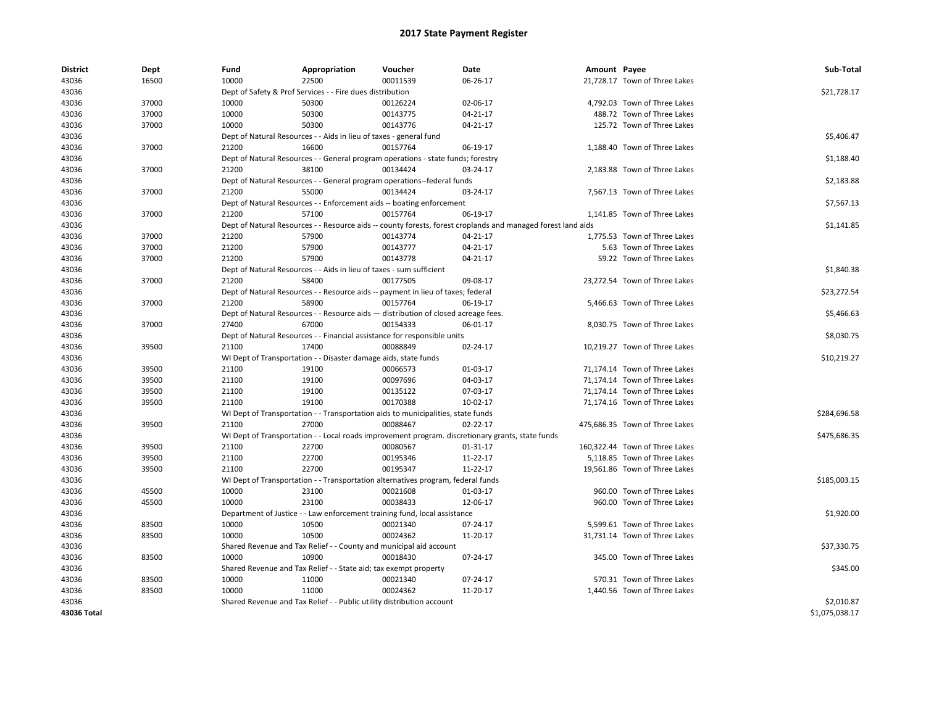| <b>District</b> | Dept  | Fund  | Appropriation                                                                      | Voucher  | Date                                                                                                         | Amount Payee |                                | Sub-Total      |
|-----------------|-------|-------|------------------------------------------------------------------------------------|----------|--------------------------------------------------------------------------------------------------------------|--------------|--------------------------------|----------------|
| 43036           | 16500 | 10000 | 22500                                                                              | 00011539 | 06-26-17                                                                                                     |              | 21,728.17 Town of Three Lakes  |                |
| 43036           |       |       | Dept of Safety & Prof Services - - Fire dues distribution                          |          |                                                                                                              |              |                                | \$21,728.17    |
| 43036           | 37000 | 10000 | 50300                                                                              | 00126224 | 02-06-17                                                                                                     |              | 4,792.03 Town of Three Lakes   |                |
| 43036           | 37000 | 10000 | 50300                                                                              | 00143775 | 04-21-17                                                                                                     |              | 488.72 Town of Three Lakes     |                |
| 43036           | 37000 | 10000 | 50300                                                                              | 00143776 | 04-21-17                                                                                                     |              | 125.72 Town of Three Lakes     |                |
| 43036           |       |       | Dept of Natural Resources - - Aids in lieu of taxes - general fund                 |          |                                                                                                              |              |                                | \$5,406.47     |
| 43036           | 37000 | 21200 | 16600                                                                              | 00157764 | 06-19-17                                                                                                     |              | 1,188.40 Town of Three Lakes   |                |
| 43036           |       |       | Dept of Natural Resources - - General program operations - state funds; forestry   |          |                                                                                                              |              |                                | \$1,188.40     |
| 43036           | 37000 | 21200 | 38100                                                                              | 00134424 | 03-24-17                                                                                                     |              | 2,183.88 Town of Three Lakes   |                |
| 43036           |       |       | Dept of Natural Resources - - General program operations--federal funds            |          |                                                                                                              |              |                                | \$2,183.88     |
| 43036           | 37000 | 21200 | 55000                                                                              | 00134424 | 03-24-17                                                                                                     |              | 7,567.13 Town of Three Lakes   |                |
| 43036           |       |       | Dept of Natural Resources - - Enforcement aids -- boating enforcement              |          |                                                                                                              |              |                                | \$7,567.13     |
| 43036           | 37000 | 21200 | 57100                                                                              | 00157764 | 06-19-17                                                                                                     |              | 1,141.85 Town of Three Lakes   |                |
| 43036           |       |       |                                                                                    |          | Dept of Natural Resources - - Resource aids -- county forests, forest croplands and managed forest land aids |              |                                | \$1,141.85     |
| 43036           | 37000 | 21200 | 57900                                                                              | 00143774 | 04-21-17                                                                                                     |              | 1,775.53 Town of Three Lakes   |                |
| 43036           | 37000 | 21200 | 57900                                                                              | 00143777 | 04-21-17                                                                                                     |              | 5.63 Town of Three Lakes       |                |
| 43036           | 37000 | 21200 | 57900                                                                              | 00143778 | 04-21-17                                                                                                     |              | 59.22 Town of Three Lakes      |                |
| 43036           |       |       | Dept of Natural Resources - - Aids in lieu of taxes - sum sufficient               |          |                                                                                                              |              |                                | \$1,840.38     |
|                 | 37000 |       | 58400                                                                              | 00177505 |                                                                                                              |              |                                |                |
| 43036           |       | 21200 |                                                                                    |          | 09-08-17                                                                                                     |              | 23,272.54 Town of Three Lakes  |                |
| 43036           |       |       | Dept of Natural Resources - - Resource aids -- payment in lieu of taxes; federal   |          |                                                                                                              |              |                                | \$23,272.54    |
| 43036           | 37000 | 21200 | 58900                                                                              | 00157764 | 06-19-17                                                                                                     |              | 5,466.63 Town of Three Lakes   |                |
| 43036           |       |       | Dept of Natural Resources - - Resource aids - distribution of closed acreage fees. |          |                                                                                                              |              |                                | \$5,466.63     |
| 43036           | 37000 | 27400 | 67000                                                                              | 00154333 | 06-01-17                                                                                                     |              | 8,030.75 Town of Three Lakes   |                |
| 43036           |       |       | Dept of Natural Resources - - Financial assistance for responsible units           |          |                                                                                                              |              |                                | \$8,030.75     |
| 43036           | 39500 | 21100 | 17400                                                                              | 00088849 | 02-24-17                                                                                                     |              | 10,219.27 Town of Three Lakes  |                |
| 43036           |       |       | WI Dept of Transportation - - Disaster damage aids, state funds                    |          |                                                                                                              |              |                                | \$10,219.27    |
| 43036           | 39500 | 21100 | 19100                                                                              | 00066573 | 01-03-17                                                                                                     |              | 71,174.14 Town of Three Lakes  |                |
| 43036           | 39500 | 21100 | 19100                                                                              | 00097696 | 04-03-17                                                                                                     |              | 71,174.14 Town of Three Lakes  |                |
| 43036           | 39500 | 21100 | 19100                                                                              | 00135122 | 07-03-17                                                                                                     |              | 71,174.14 Town of Three Lakes  |                |
| 43036           | 39500 | 21100 | 19100                                                                              | 00170388 | 10-02-17                                                                                                     |              | 71,174.16 Town of Three Lakes  |                |
| 43036           |       |       | WI Dept of Transportation - - Transportation aids to municipalities, state funds   |          |                                                                                                              |              |                                | \$284,696.58   |
| 43036           | 39500 | 21100 | 27000                                                                              | 00088467 | 02-22-17                                                                                                     |              | 475,686.35 Town of Three Lakes |                |
| 43036           |       |       |                                                                                    |          | WI Dept of Transportation - - Local roads improvement program. discretionary grants, state funds             |              |                                | \$475,686.35   |
| 43036           | 39500 | 21100 | 22700                                                                              | 00080567 | 01-31-17                                                                                                     |              | 160,322.44 Town of Three Lakes |                |
| 43036           | 39500 | 21100 | 22700                                                                              | 00195346 | 11-22-17                                                                                                     |              | 5,118.85 Town of Three Lakes   |                |
| 43036           | 39500 | 21100 | 22700                                                                              | 00195347 | 11-22-17                                                                                                     |              | 19,561.86 Town of Three Lakes  |                |
| 43036           |       |       | WI Dept of Transportation - - Transportation alternatives program, federal funds   |          |                                                                                                              |              |                                | \$185,003.15   |
| 43036           | 45500 | 10000 | 23100                                                                              | 00021608 | 01-03-17                                                                                                     |              | 960.00 Town of Three Lakes     |                |
| 43036           | 45500 | 10000 | 23100                                                                              | 00038433 | 12-06-17                                                                                                     |              | 960.00 Town of Three Lakes     |                |
| 43036           |       |       | Department of Justice - - Law enforcement training fund, local assistance          |          |                                                                                                              |              |                                | \$1,920.00     |
| 43036           | 83500 | 10000 | 10500                                                                              | 00021340 | 07-24-17                                                                                                     |              | 5,599.61 Town of Three Lakes   |                |
| 43036           | 83500 | 10000 | 10500                                                                              | 00024362 | 11-20-17                                                                                                     |              | 31,731.14 Town of Three Lakes  |                |
| 43036           |       |       | Shared Revenue and Tax Relief - - County and municipal aid account                 |          |                                                                                                              |              |                                | \$37,330.75    |
| 43036           | 83500 | 10000 | 10900                                                                              | 00018430 | 07-24-17                                                                                                     |              | 345.00 Town of Three Lakes     |                |
| 43036           |       |       |                                                                                    |          |                                                                                                              |              |                                | \$345.00       |
|                 |       |       | Shared Revenue and Tax Relief - - State aid; tax exempt property                   |          |                                                                                                              |              |                                |                |
| 43036           | 83500 | 10000 | 11000                                                                              | 00021340 | 07-24-17                                                                                                     |              | 570.31 Town of Three Lakes     |                |
| 43036           | 83500 | 10000 | 11000                                                                              | 00024362 | 11-20-17                                                                                                     |              | 1,440.56 Town of Three Lakes   |                |
| 43036           |       |       | Shared Revenue and Tax Relief - - Public utility distribution account              |          |                                                                                                              |              |                                | \$2,010.87     |
| 43036 Total     |       |       |                                                                                    |          |                                                                                                              |              |                                | \$1,075,038.17 |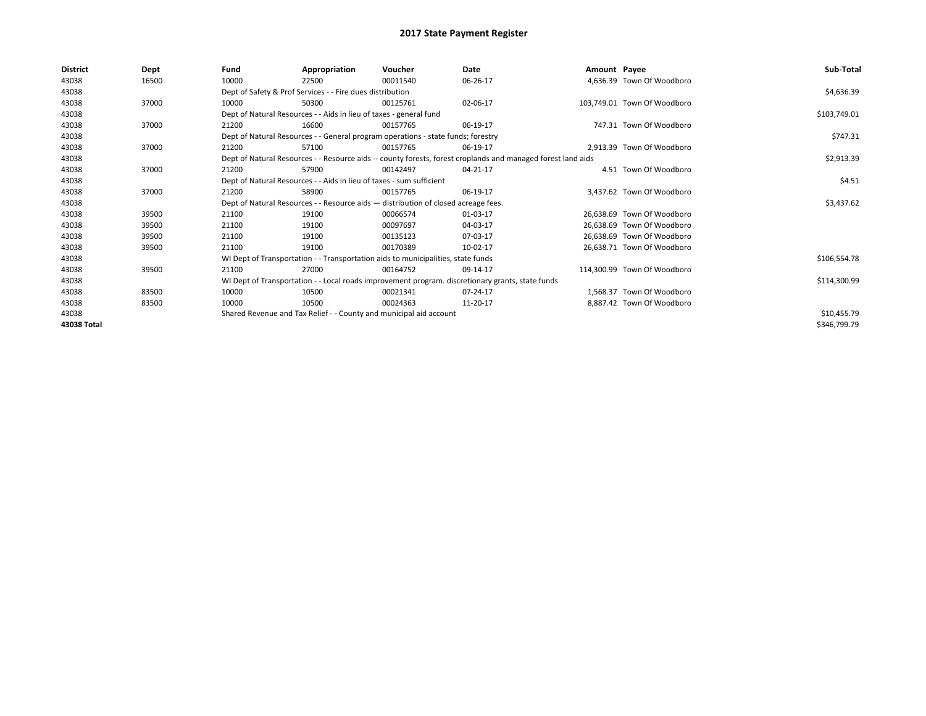| District    | Dept  | Fund                                                               | Appropriation                                                                      | Voucher     | Date                                                                                                         | Amount Payee |                             | Sub-Total    |
|-------------|-------|--------------------------------------------------------------------|------------------------------------------------------------------------------------|-------------|--------------------------------------------------------------------------------------------------------------|--------------|-----------------------------|--------------|
| 43038       | 16500 | 10000                                                              | 22500                                                                              | 00011540    | 06-26-17                                                                                                     |              | 4,636.39 Town Of Woodboro   |              |
| 43038       |       |                                                                    | Dept of Safety & Prof Services - - Fire dues distribution                          |             |                                                                                                              |              |                             | \$4,636.39   |
| 43038       | 37000 | 10000                                                              | 50300                                                                              | 00125761    | 02-06-17                                                                                                     |              | 103,749.01 Town Of Woodboro |              |
| 43038       |       |                                                                    | Dept of Natural Resources - - Aids in lieu of taxes - general fund                 |             |                                                                                                              |              |                             | \$103,749.01 |
| 43038       | 37000 | 21200                                                              | 16600                                                                              | 00157765    | 06-19-17                                                                                                     |              | 747.31 Town Of Woodboro     |              |
| 43038       |       |                                                                    | Dept of Natural Resources - - General program operations - state funds; forestry   |             |                                                                                                              |              |                             | \$747.31     |
| 43038       | 37000 | 21200                                                              | 57100                                                                              | 00157765    | 06-19-17                                                                                                     |              | 2.913.39 Town Of Woodboro   |              |
| 43038       |       |                                                                    |                                                                                    |             | Dept of Natural Resources - - Resource aids -- county forests, forest croplands and managed forest land aids |              |                             | \$2,913.39   |
| 43038       | 37000 | 21200                                                              | 57900                                                                              | 00142497    | 04-21-17                                                                                                     |              | 4.51 Town Of Woodboro       |              |
| 43038       |       |                                                                    | Dept of Natural Resources - - Aids in lieu of taxes - sum sufficient               |             |                                                                                                              |              |                             | \$4.51       |
| 43038       | 37000 | 21200                                                              | 58900                                                                              | 00157765    | 06-19-17                                                                                                     |              | 3,437.62 Town Of Woodboro   |              |
| 43038       |       |                                                                    | Dept of Natural Resources - - Resource aids - distribution of closed acreage fees. |             |                                                                                                              |              |                             | \$3,437.62   |
| 43038       | 39500 | 21100                                                              | 19100                                                                              | 00066574    | 01-03-17                                                                                                     |              | 26.638.69 Town Of Woodboro  |              |
| 43038       | 39500 | 21100                                                              | 19100                                                                              | 00097697    | 04-03-17                                                                                                     |              | 26,638.69 Town Of Woodboro  |              |
| 43038       | 39500 | 21100                                                              | 19100                                                                              | 00135123    | 07-03-17                                                                                                     |              | 26,638.69 Town Of Woodboro  |              |
| 43038       | 39500 | 21100                                                              | 19100                                                                              | 00170389    | 10-02-17                                                                                                     |              | 26,638.71 Town Of Woodboro  |              |
| 43038       |       |                                                                    | WI Dept of Transportation - - Transportation aids to municipalities, state funds   |             |                                                                                                              |              |                             | \$106,554.78 |
| 43038       | 39500 | 21100                                                              | 27000                                                                              | 00164752    | 09-14-17                                                                                                     |              | 114.300.99 Town Of Woodboro |              |
| 43038       |       |                                                                    |                                                                                    |             | WI Dept of Transportation - - Local roads improvement program. discretionary grants, state funds             |              |                             | \$114,300.99 |
| 43038       | 83500 | 10000                                                              | 10500                                                                              | 00021341    | 07-24-17                                                                                                     |              | 1.568.37 Town Of Woodboro   |              |
| 43038       | 83500 | 10000                                                              | 10500                                                                              | 00024363    | 11-20-17                                                                                                     |              | 8,887.42 Town Of Woodboro   |              |
| 43038       |       | Shared Revenue and Tax Relief - - County and municipal aid account |                                                                                    | \$10,455.79 |                                                                                                              |              |                             |              |
| 43038 Total |       |                                                                    |                                                                                    |             |                                                                                                              |              |                             | \$346,799.79 |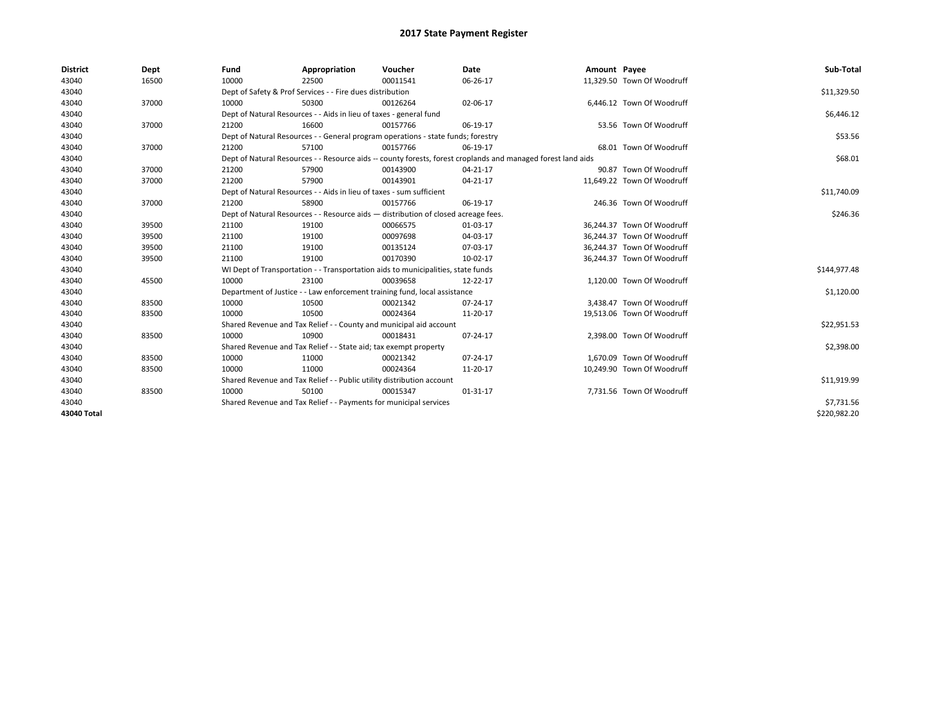| <b>District</b> | Dept  | Fund  | Appropriation                                                                                                | Voucher  | Date           | Amount Payee |                            | Sub-Total    |  |  |  |  |
|-----------------|-------|-------|--------------------------------------------------------------------------------------------------------------|----------|----------------|--------------|----------------------------|--------------|--|--|--|--|
| 43040           | 16500 | 10000 | 22500                                                                                                        | 00011541 | 06-26-17       |              | 11,329.50 Town Of Woodruff |              |  |  |  |  |
| 43040           |       |       | Dept of Safety & Prof Services - - Fire dues distribution                                                    |          |                |              |                            |              |  |  |  |  |
| 43040           | 37000 | 10000 | 50300                                                                                                        | 00126264 | 02-06-17       |              | 6.446.12 Town Of Woodruff  |              |  |  |  |  |
| 43040           |       |       | Dept of Natural Resources - - Aids in lieu of taxes - general fund                                           |          |                |              |                            |              |  |  |  |  |
| 43040           | 37000 | 21200 | 16600                                                                                                        | 00157766 | 06-19-17       |              | 53.56 Town Of Woodruff     |              |  |  |  |  |
| 43040           |       |       | Dept of Natural Resources - - General program operations - state funds; forestry                             |          |                |              |                            |              |  |  |  |  |
| 43040           | 37000 | 21200 | 57100                                                                                                        | 00157766 | 06-19-17       |              | 68.01 Town Of Woodruff     |              |  |  |  |  |
| 43040           |       |       | Dept of Natural Resources - - Resource aids -- county forests, forest croplands and managed forest land aids |          |                |              |                            |              |  |  |  |  |
| 43040           | 37000 | 21200 | 57900                                                                                                        | 00143900 | 04-21-17       |              | 90.87 Town Of Woodruff     |              |  |  |  |  |
| 43040           | 37000 | 21200 | 57900                                                                                                        | 00143901 | 04-21-17       |              | 11,649.22 Town Of Woodruff |              |  |  |  |  |
| 43040           |       |       | Dept of Natural Resources - - Aids in lieu of taxes - sum sufficient                                         |          |                |              |                            |              |  |  |  |  |
| 43040           | 37000 | 21200 | 58900                                                                                                        | 00157766 | 06-19-17       |              | 246.36 Town Of Woodruff    |              |  |  |  |  |
| 43040           |       |       | Dept of Natural Resources - - Resource aids - distribution of closed acreage fees.                           |          |                |              |                            |              |  |  |  |  |
| 43040           | 39500 | 21100 | 19100                                                                                                        | 00066575 | 01-03-17       |              | 36,244.37 Town Of Woodruff |              |  |  |  |  |
| 43040           | 39500 | 21100 | 19100                                                                                                        | 00097698 | 04-03-17       |              | 36.244.37 Town Of Woodruff |              |  |  |  |  |
| 43040           | 39500 | 21100 | 19100                                                                                                        | 00135124 | 07-03-17       |              | 36,244.37 Town Of Woodruff |              |  |  |  |  |
| 43040           | 39500 | 21100 | 19100                                                                                                        | 00170390 | 10-02-17       |              | 36,244.37 Town Of Woodruff |              |  |  |  |  |
| 43040           |       |       | WI Dept of Transportation - - Transportation aids to municipalities, state funds                             |          |                |              |                            |              |  |  |  |  |
| 43040           | 45500 | 10000 | 23100                                                                                                        | 00039658 | 12-22-17       |              | 1.120.00 Town Of Woodruff  |              |  |  |  |  |
| 43040           |       |       | Department of Justice - - Law enforcement training fund, local assistance                                    |          |                |              |                            |              |  |  |  |  |
| 43040           | 83500 | 10000 | 10500                                                                                                        | 00021342 | 07-24-17       |              | 3,438.47 Town Of Woodruff  |              |  |  |  |  |
| 43040           | 83500 | 10000 | 10500                                                                                                        | 00024364 | 11-20-17       |              | 19,513.06 Town Of Woodruff |              |  |  |  |  |
| 43040           |       |       | Shared Revenue and Tax Relief - - County and municipal aid account                                           |          |                |              |                            |              |  |  |  |  |
| 43040           | 83500 | 10000 | 10900                                                                                                        | 00018431 | 07-24-17       |              | 2,398.00 Town Of Woodruff  |              |  |  |  |  |
| 43040           |       |       | Shared Revenue and Tax Relief - - State aid; tax exempt property                                             |          |                |              |                            |              |  |  |  |  |
| 43040           | 83500 | 10000 | 11000                                                                                                        | 00021342 | 07-24-17       |              | 1,670.09 Town Of Woodruff  |              |  |  |  |  |
| 43040           | 83500 | 10000 | 11000                                                                                                        | 00024364 | 11-20-17       |              | 10,249.90 Town Of Woodruff |              |  |  |  |  |
| 43040           |       |       | Shared Revenue and Tax Relief - - Public utility distribution account                                        |          |                |              |                            |              |  |  |  |  |
| 43040           | 83500 | 10000 | 50100                                                                                                        | 00015347 | $01 - 31 - 17$ |              | 7,731.56 Town Of Woodruff  |              |  |  |  |  |
| 43040           |       |       | Shared Revenue and Tax Relief - - Payments for municipal services                                            |          |                |              |                            |              |  |  |  |  |
| 43040 Total     |       |       |                                                                                                              |          |                |              |                            | \$220,982.20 |  |  |  |  |